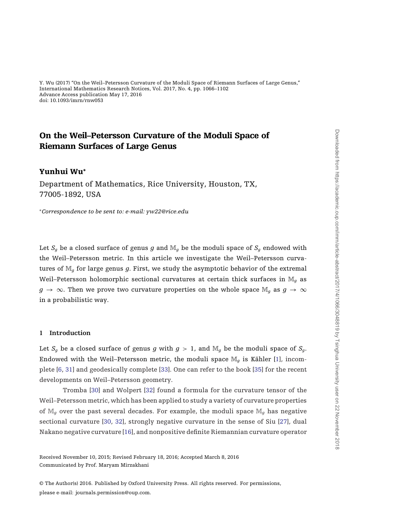# On the Weil–Petersson Curvature of the Moduli Space of Riemann Surfaces of Large Genus

# Yunhui Wu**<sup>∗</sup>**

Department of Mathematics, Rice University, Houston, TX, 77005-1892, USA

<sup>∗</sup>*Correspondence to be sent to: e-mail: yw22@rice.edu*

Let  $S_q$  be a closed surface of genus  $g$  and  $\mathbb{M}_q$  be the moduli space of  $S_q$  endowed with the Weil–Petersson metric. In this article we investigate the Weil–Petersson curvatures of M*<sup>g</sup>* for large genus *g*. First, we study the asymptotic behavior of the extremal Weil–Petersson holomorphic sectional curvatures at certain thick surfaces in M*<sup>g</sup>* as *g* → ∞. Then we prove two curvature properties on the whole space  $\mathbb{M}_q$  as  $q \to \infty$ in a probabilistic way.

#### **1 Introduction**

Let  $S_g$  be a closed surface of genus  $g$  with  $g > 1$ , and  $\mathbb{M}_q$  be the moduli space of  $S_g$ . Endowed with the Weil–Petersson metric, the moduli space M*<sup>g</sup>* is Kähler [\[1](#page-34-0)], incomplete [\[6,](#page-34-0) [31](#page-35-0)] and geodesically complete [\[33](#page-35-0)]. One can refer to the book [\[35\]](#page-35-0) for the recent developments on Weil–Petersson geometry.

Tromba [\[30\]](#page-35-0) and Wolpert [\[32](#page-35-0)] found a formula for the curvature tensor of the Weil–Petersson metric, which has been applied to study a variety of curvature properties of M*<sup>g</sup>* over the past several decades. For example, the moduli space M*<sup>g</sup>* has negative sectional curvature [\[30,](#page-35-0) [32](#page-35-0)], strongly negative curvature in the sense of Siu [\[27\]](#page-35-0), dual Nakano negative curvature [\[16](#page-34-0)], and nonpositive definite Riemannian curvature operator

Received November 10, 2015; Revised February 18, 2016; Accepted March 8, 2016 Communicated by Prof. Maryam Mirzakhani

© The Author(s) 2016. Published by Oxford University Press. All rights reserved. For permissions, please e-mail: journals.permission@oup.com.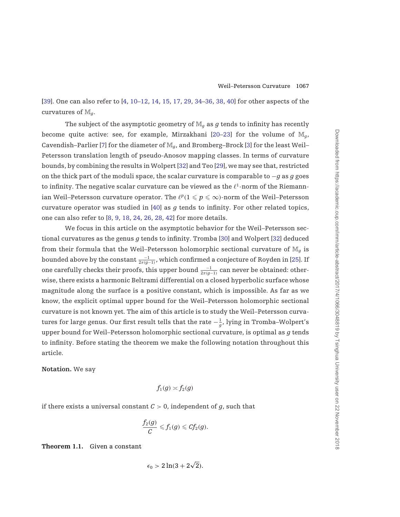<span id="page-1-0"></span>[\[39\]](#page-36-0). One can also refer to [\[4,](#page-34-0) [10–12,](#page-34-0) [14](#page-34-0), [15,](#page-34-0) [17](#page-34-0), [29,](#page-35-0) [34–36](#page-35-0), [38,](#page-36-0) [40](#page-36-0)] for other aspects of the curvatures of M*g*.

The subject of the asymptotic geometry of  $\mathbb{M}_q$  as  $g$  tends to infinity has recently become quite active: see, for example, Mirzakhani [\[20–23\]](#page-35-0) for the volume of  $\mathbb{M}_q$ , Cavendish–Parlier [\[7\]](#page-34-0) for the diameter of M*g*, and Bromberg–Brock [\[3](#page-34-0)] for the least Weil– Petersson translation length of pseudo-Anosov mapping classes. In terms of curvature bounds, by combining the results in Wolpert [\[32\]](#page-35-0) and Teo [\[29](#page-35-0)], we may see that, restricted on the thick part of the moduli space, the scalar curvature is comparable to −*g* as *g* goes to infinity. The negative scalar curvature can be viewed as the  $\ell^1$ -norm of the Riemannian Weil–Petersson curvature operator. The  $\ell^p (1 \leqslant p \leqslant \infty)$ -norm of the Weil–Petersson curvature operator was studied in [\[40\]](#page-36-0) as *g* tends to infinity. For other related topics, one can also refer to [\[8,](#page-34-0) [9,](#page-34-0) [18](#page-34-0), [24,](#page-35-0) [26,](#page-35-0) [28](#page-35-0), [42\]](#page-36-0) for more details.

We focus in this article on the asymptotic behavior for the Weil–Petersson sectional curvatures as the genus *g* tends to infinity. Tromba [\[30\]](#page-35-0) and Wolpert [\[32\]](#page-35-0) deduced from their formula that the Weil–Petersson holomorphic sectional curvature of M*<sup>g</sup>* is bounded above by the constant  $\frac{-1}{2\pi (g-1)}$ , which confirmed a conjecture of Royden in [\[25\]](#page-35-0). If one carefully checks their proofs, this upper bound  $\frac{-1}{2\pi (g-1)}$  can never be obtained: otherwise, there exists a harmonic Beltrami differential on a closed hyperbolic surface whose magnitude along the surface is a positive constant, which is impossible. As far as we know, the explicit optimal upper bound for the Weil–Petersson holomorphic sectional curvature is not known yet. The aim of this article is to study the Weil–Petersson curvatures for large genus. Our first result tells that the rate −<sup>1</sup> *<sup>g</sup>* , lying in Tromba–Wolpert's upper bound for Weil–Petersson holomorphic sectional curvature, is optimal as *g* tends to infinity. Before stating the theorem we make the following notation throughout this article.

**Notation.** We say

$$
f_1(g) \asymp f_2(g)
$$

if there exists a universal constant  $C > 0$ , independent of  $g$ , such that

$$
\frac{f_2(g)}{C}\leqslant f_1(g)\leqslant C\!f_2(g).
$$

**Theorem 1.1.** Given a constant

$$
\epsilon_0 > 2\ln(3 + 2\sqrt{2}).
$$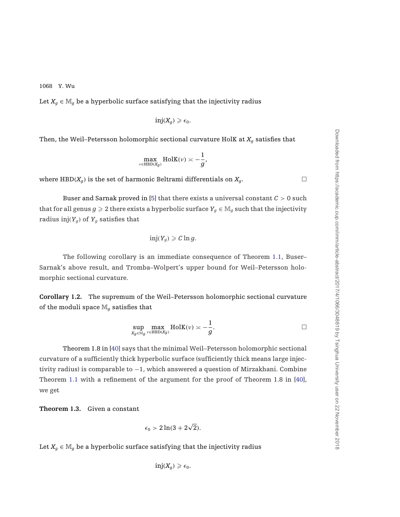<span id="page-2-0"></span>Let  $X_q \in \mathbb{M}_q$  be a hyperbolic surface satisfying that the injectivity radius

$$
\mathrm{inj}(X_g)\geqslant \epsilon_0.
$$

Then, the Weil–Petersson holomorphic sectional curvature HolK at  $X_q$  satisfies that

$$
\max_{v \in \text{HBD}(X_g)} \text{HolK}(v) \asymp -\frac{1}{g},
$$

where HBD( $X_q$ ) is the set of harmonic Beltrami differentials on  $X_q$ .

Buser and Sarnak proved in [\[5\]](#page-34-0) that there exists a universal constant *C* > 0 such that for all genus  $g \ge 2$  there exists a hyperbolic surface  $Y_g \in M_g$  such that the injectivity radius inj $(Y_g)$  of  $Y_g$  satisfies that

$$
\mathrm{inj}(Y_g)\geqslant C\ln g.
$$

The following corollary is an immediate consequence of Theorem [1.1,](#page-1-0) Buser– Sarnak's above result, and Tromba–Wolpert's upper bound for Weil–Petersson holomorphic sectional curvature.

**Corollary 1.2.** The supremum of the Weil–Petersson holomorphic sectional curvature of the moduli space  $\mathbb{M}_q$  satisfies that

$$
\sup_{X_g \in \mathbb{M}_g} \max_{v \in \text{HBD}(X_g)} \text{HolK}(v) \asymp -\frac{1}{g}.
$$

Theorem 1.8 in [\[40\]](#page-36-0) says that the minimal Weil–Petersson holomorphic sectional curvature of a sufficiently thick hyperbolic surface (sufficiently thick means large injectivity radius) is comparable to  $-1$ , which answered a question of Mirzakhani. Combine Theorem [1.1](#page-1-0) with a refinement of the argument for the proof of Theorem 1.8 in [\[40](#page-36-0)], we get

**Theorem 1.3.** Given a constant

$$
\epsilon_0 > 2\ln(3 + 2\sqrt{2}).
$$

Let  $X_g \in \mathbb{M}_g$  be a hyperbolic surface satisfying that the injectivity radius

$$
\text{inj}(X_g) \geq \epsilon_0.
$$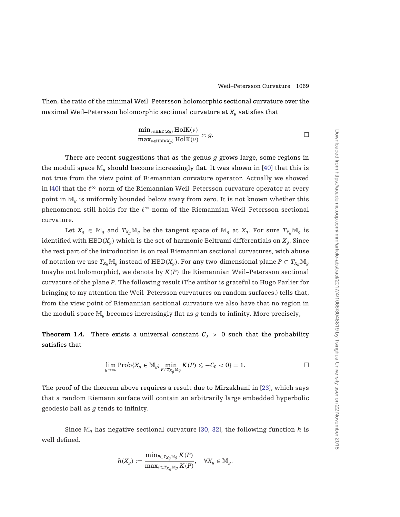<span id="page-3-0"></span>Then, the ratio of the minimal Weil–Petersson holomorphic sectional curvature over the maximal Weil–Petersson holomorphic sectional curvature at *Xg* satisfies that

$$
\frac{\min_{\nu \in \text{HBD}(X_g)} \text{HolK}(\nu)}{\max_{\nu \in \text{HBD}(X_g)} \text{HolK}(\nu)} \approx g.
$$

There are recent suggestions that as the genus *g* grows large, some regions in the moduli space  $\mathbb{M}_q$  should become increasingly flat. It was shown in [\[40\]](#page-36-0) that this is not true from the view point of Riemannian curvature operator. Actually we showed in [\[40\]](#page-36-0) that the  $\ell^\infty$ -norm of the Riemannian Weil–Petersson curvature operator at every point in M*<sup>g</sup>* is uniformly bounded below away from zero. It is not known whether this phenomenon still holds for the  $\ell^\infty$ -norm of the Riemannian Weil–Petersson sectional curvature.

Let  $X_g \in \mathbb{M}_g$  and  $T_{X_g}\mathbb{M}_g$  be the tangent space of  $\mathbb{M}_g$  at  $X_g$ . For sure  $T_{X_g}\mathbb{M}_g$  is identified with  $HBD(X_q)$  which is the set of harmonic Beltrami differentials on  $X_q$ . Since the rest part of the introduction is on real Riemannian sectional curvatures, with abuse of notation we use  $T_{X_q}M_q$  instead of HBD( $X_q$ ). For any two-dimensional plane  $P \subset T_{X_q}M_q$ (maybe not holomorphic), we denote by *K*(*P*) the Riemannian Weil–Petersson sectional curvature of the plane *P*. The following result (The author is grateful to Hugo Parlier for bringing to my attention the Weil–Petersson curvatures on random surfaces.) tells that, from the view point of Riemannian sectional curvature we also have that no region in the moduli space M*<sup>g</sup>* becomes increasingly flat as *g* tends to infinity. More precisely,

**Theorem 1.4.** There exists a universal constant  $C_0 > 0$  such that the probability satisfies that

$$
\lim_{g\to\infty}\mathop{\rm Prob}\{X_g\in\mathbb{M}_g; \min_{P\subset T_{Xg}\mathbb{M}_g}K(P)\leqslant -C_0<0\}=1. \qquad \qquad \Box
$$

The proof of the theorem above requires a result due to Mirzakhani in [\[23](#page-35-0)], which says that a random Riemann surface will contain an arbitrarily large embedded hyperbolic geodesic ball as *g* tends to infinity.

Since  $\mathbb{M}_q$  has negative sectional curvature [\[30](#page-35-0), [32\]](#page-35-0), the following function *h* is well defined.

$$
h(X_g) := \frac{\min_{P \subset T_{X_g} \mathbb{M}_g} K(P)}{\max_{P \subset T_{X_g} \mathbb{M}_g} K(P)}, \quad \forall X_g \in \mathbb{M}_g.
$$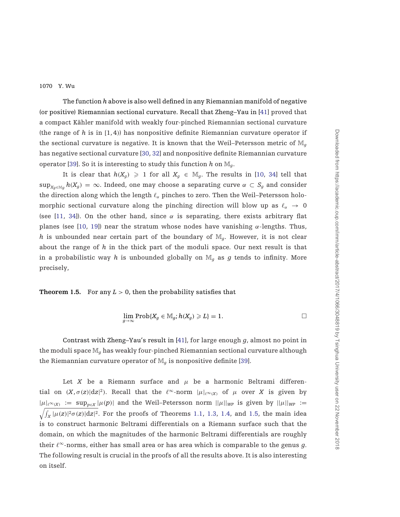<span id="page-4-0"></span>The function *h* above is also well defined in any Riemannian manifold of negative (or positive) Riemannian sectional curvature. Recall that Zheng–Yau in [\[41\]](#page-36-0) proved that a compact Kähler manifold with weakly four-pinched Riemannian sectional curvature (the range of *h* is in [1, 4)) has nonpositive definite Riemannian curvature operator if the sectional curvature is negative. It is known that the Weil–Petersson metric of  $\mathbb{M}_{q}$ has negative sectional curvature [\[30](#page-35-0), [32](#page-35-0)] and nonpositive definite Riemannian curvature operator [\[39](#page-36-0)]. So it is interesting to study this function  $h$  on  $\mathbb{M}_q$ .

It is clear that  $h(X_g) \geq 1$  for all  $X_g \in \mathbb{M}_g$ . The results in [\[10,](#page-34-0) [34](#page-35-0)] tell that  $\sup_{X_q \in M_q} h(X_q) = \infty$ . Indeed, one may choose a separating curve  $\alpha \subset S_q$  and consider the direction along which the length  $\ell_\alpha$  pinches to zero. Then the Weil–Petersson holomorphic sectional curvature along the pinching direction will blow up as  $\ell_\alpha$   $\;\rightarrow$  0 (see [\[11](#page-34-0), [34](#page-35-0)]). On the other hand, since  $\alpha$  is separating, there exists arbitrary flat planes (see [\[10,](#page-34-0) [19](#page-34-0)]) near the stratum whose nodes have vanishing  $\alpha$ -lengths. Thus, *h* is unbounded near certain part of the boundary of  $\mathbb{M}_q$ . However, it is not clear about the range of *h* in the thick part of the moduli space. Our next result is that in a probabilistic way h is unbounded globally on  $\mathbb{M}_q$  as g tends to infinity. More precisely,

**Theorem 1.5.** For any  $L > 0$ , then the probability satisfies that

$$
\lim_{g\to\infty}\operatorname{Prob}\{X_g\in\mathbb{M}_g;\,h(X_g)\geqslant L\}=1.\qquad \qquad \Box
$$

Contrast with Zheng–Yau's result in [\[41](#page-36-0)], for large enough *g*, almost no point in the moduli space M*<sup>g</sup>* has weakly four-pinched Riemannian sectional curvature although the Riemannian curvature operator of  $\mathbb{M}_q$  is nonpositive definite [\[39](#page-36-0)].

Let *X* be a Riemann surface and  $\mu$  be a harmonic Beltrami differential on  $(X, \sigma(z)|dz|^2)$ . Recall that the  $\ell^{\infty}$ -norm  $|\mu|_{\ell^{\infty}(X)}$  of  $\mu$  over X is given by  $|\mu|_{\ell^{\infty}(X)} := \sup_{p \in X} |\mu(p)|$  and the Weil–Petersson norm  $||\mu||_{WP}$  is given by  $||\mu||_{WP} :=$  $\sqrt{\int_X |\mu(z)|^2 \sigma(z) |\mathrm{d}z|^2}$ . For the proofs of Theorems [1.1,](#page-1-0) [1.3,](#page-2-0) [1.4,](#page-3-0) and 1.5, the main idea is to construct harmonic Beltrami differentials on a Riemann surface such that the domain, on which the magnitudes of the harmonic Beltrami differentials are roughly their  $\ell^{\infty}$ -norms, either has small area or has area which is comparable to the genus  $g$ . The following result is crucial in the proofs of all the results above. It is also interesting on itself.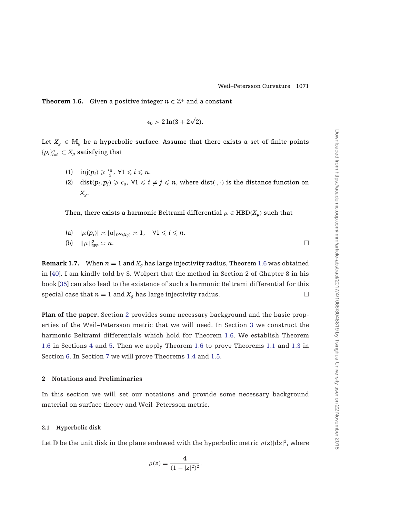<span id="page-5-0"></span>**Theorem 1.6.** Given a positive integer  $n \in \mathbb{Z}^+$  and a constant

$$
\epsilon_0 > 2\ln(3 + 2\sqrt{2}).
$$

Let  $X_q \in \mathbb{M}_q$  be a hyperbolic surface. Assume that there exists a set of finite points  $\{p_i\}_{i=1}^n \subset X_g$  satisfying that

- (1)  $\text{inj}(p_i) \geqslant \frac{\epsilon_0}{2}, \forall 1 \leqslant i \leqslant n.$
- (2) dist $(p_i, p_j) \geqslant \epsilon_0$ ,  $\forall 1 \leqslant i \neq j \leqslant n$ , where dist $(\cdot, \cdot)$  is the distance function on *Xg*.

Then, there exists a harmonic Beltrami differential  $\mu \in \text{HBD}(X_q)$  such that

(a) 
$$
|\mu(p_i)| \asymp |\mu|_{\ell^{\infty}(X_g)} \asymp 1
$$
,  $\forall 1 \leq i \leq n$ .  
(b)  $||\mu||_{WP}^2 \asymp n$ .

**Remark 1.7.** When  $n = 1$  and  $X_q$  has large injectivity radius, Theorem 1.6 was obtained in [\[40](#page-36-0)]. I am kindly told by S. Wolpert that the method in Section 2 of Chapter 8 in his book [\[35\]](#page-35-0) can also lead to the existence of such a harmonic Beltrami differential for this special case that  $n = 1$  and  $X_q$  has large injectivity radius.

**Plan of the paper.** Section 2 provides some necessary background and the basic properties of the Weil–Petersson metric that we will need. In Section [3](#page-9-0) we construct the harmonic Beltrami differentials which hold for Theorem 1.6. We establish Theorem 1.6 in Sections [4](#page-15-0) and [5.](#page-20-0) Then we apply Theorem 1.6 to prove Theorems [1.1](#page-1-0) and [1.3](#page-2-0) in Section [6.](#page-28-0) In Section [7](#page-31-0) we will prove Theorems [1.4](#page-3-0) and [1.5.](#page-4-0)

## **2 Notations and Preliminaries**

In this section we will set our notations and provide some necessary background material on surface theory and Weil–Petersson metric.

#### **2.1 Hyperbolic disk**

Let  $\mathbb D$  be the unit disk in the plane endowed with the hyperbolic metric  $\rho(z)|dz|^2$ , where

$$
\rho(z) = \frac{4}{(1-|z|^2)^2}.
$$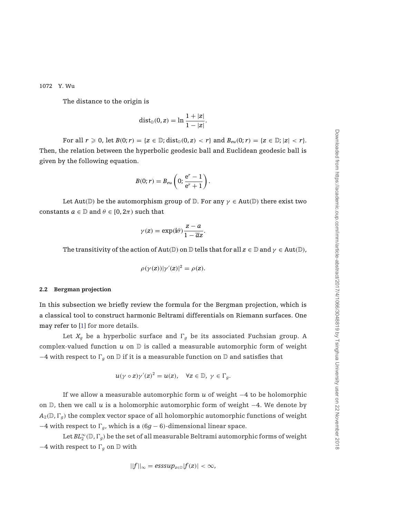<span id="page-6-0"></span>The distance to the origin is

$$
\mathrm{dist}_{\mathbb{D}}(0,z)=\ln\frac{1+|z|}{1-|z|}.
$$

For all  $r \ge 0$ , let  $B(0; r) = \{z \in \mathbb{D}; \text{dist}_{\mathbb{D}}(0, z) < r\}$  and  $B_{eu}(0; r) = \{z \in \mathbb{D}; |z| < r\}.$ Then, the relation between the hyperbolic geodesic ball and Euclidean geodesic ball is given by the following equation.

$$
B(0; r) = B_{eu} \left( 0; \frac{\mathrm{e}^r - 1}{\mathrm{e}^r + 1} \right).
$$

Let Aut( $\mathbb{D}$ ) be the automorphism group of  $\mathbb{D}$ . For any  $\gamma \in Aut(\mathbb{D})$  there exist two constants  $a \in \mathbb{D}$  and  $\theta \in [0, 2\pi)$  such that

$$
\gamma(z) = \exp(i\theta) \frac{z - a}{1 - \overline{a}z}.
$$

The transitivity of the action of Aut(D) on D tells that for all  $z \in D$  and  $\gamma \in Aut(D)$ ,

$$
\rho(\gamma(z))|\gamma'(z)|^2 = \rho(z).
$$

#### **2.2 Bergman projection**

In this subsection we briefly review the formula for the Bergman projection, which is a classical tool to construct harmonic Beltrami differentials on Riemann surfaces. One may refer to [\[1\]](#page-34-0) for more details.

Let  $X_g$  be a hyperbolic surface and  $\Gamma_g$  be its associated Fuchsian group. A complex-valued function  $u$  on  $D$  is called a measurable automorphic form of weight  $-4$  with respect to  $\Gamma_a$  on  $\mathbb D$  if it is a measurable function on  $\mathbb D$  and satisfies that

$$
u(\gamma\circ z)\gamma'(z)^2=u(z),\quad \forall z\in\mathbb{D},\; \gamma\in\Gamma_g.
$$

If we allow a measurable automorphic form *u* of weight −4 to be holomorphic on  $\n D$ , then we call *u* is a holomorphic automorphic form of weight  $-4$ . We denote by  $A_2(\mathbb{D}, \Gamma_q)$  the complex vector space of all holomorphic automorphic functions of weight  $-4$  with respect to  $\Gamma_a$ , which is a  $(6g - 6)$ -dimensional linear space.

Let  $BL_2^\infty(\mathbb{D},\Gamma_g)$  be the set of all measurable Beltrami automorphic forms of weight  $-4$  with respect to  $\Gamma_g$  on  $\mathbb D$  with

$$
||f||_{\infty} = esssup_{z \in \mathbb{D}} |f(z)| < \infty,
$$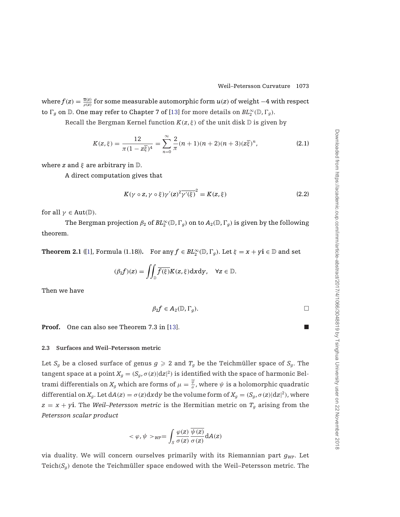<span id="page-7-0"></span>where  $f(z) = \frac{\overline{u}(z)}{\rho(z)}$  for some measurable automorphic form  $u(z)$  of weight  $-4$  with respect to  $\Gamma_g$  on  $\mathbb D$ . One may refer to Chapter 7 of [\[13\]](#page-34-0) for more details on  $BL_2^\infty(\mathbb D,\Gamma_g)$ .

Recall the Bergman Kernel function  $K(z, \xi)$  of the unit disk  $D$  is given by

$$
K(z,\xi) = \frac{12}{\pi(1-z\overline{\xi})^4} = \sum_{n=0}^{\infty} \frac{2}{\pi}(n+1)(n+2)(n+3)(z\overline{\xi})^n,
$$
 (2.1)

where *z* and  $\xi$  are arbitrary in  $\mathbb{D}$ .

A direct computation gives that

$$
K(\gamma \circ z, \gamma \circ \xi)\gamma'(z)^2\overline{\gamma'(\xi)}^2 = K(z, \xi)
$$
\n(2.2)

for all  $\gamma \in Aut(\mathbb{D})$ .

The Bergman projection  $\beta_2$  of  $BL_2^\infty(\mathbb{D},\Gamma_g)$  on to  $A_2(\mathbb{D},\Gamma_g)$  is given by the following theorem.

**Theorem 2.1** ([\[1\]](#page-34-0), Formula (1.18)). For any  $f \in BL_2^{\infty}(\mathbb{D}, \Gamma_g)$ . Let  $\xi = x + yi \in \mathbb{D}$  and set

$$
(\beta_2 f)(z)=\iint_{\mathbb{D}} \overline{f(\xi)}K(z,\xi) \mathrm{d}x \mathrm{d}y, \quad \forall z\in \mathbb{D}.
$$

Then we have

$$
\beta_2 f \in A_2(\mathbb{D}, \Gamma_g). \square
$$

**Proof.** One can also see Theorem 7.3 in [\[13\]](#page-34-0).

## **2.3 Surfaces and Weil–Petersson metric**

Let  $S_g$  be a closed surface of genus  $g \ge 2$  and  $T_g$  be the Teichmüller space of  $S_g$ . The tangent space at a point  $X_g = (S_g, \sigma(z)|dz|^2)$  is identified with the space of harmonic Beltrami differentials on  $X_g$  which are forms of  $\mu=\frac{\psi}{\sigma}$ , where  $\psi$  is a holomorphic quadratic differential on  $X_g$ . Let  $dA(z) = \sigma(z) dxdy$  be the volume form of  $X_g = (S_g, \sigma(z)|dz|^2)$ , where  $z = x + yi$ . The *Weil–Petersson metric* is the Hermitian metric on  $T<sub>g</sub>$  arising from the *Petersson scalar product*

$$
<\varphi,\psi>_{\it WP}=\int_S\frac{\varphi(z)}{\sigma(z)}\frac{\overline{\psi(z)}}{\sigma(z)}{\rm d}A(z)
$$

via duality. We will concern ourselves primarily with its Riemannian part  $g_{WP}$ . Let Teich( $S_g$ ) denote the Teichmüller space endowed with the Weil–Petersson metric. The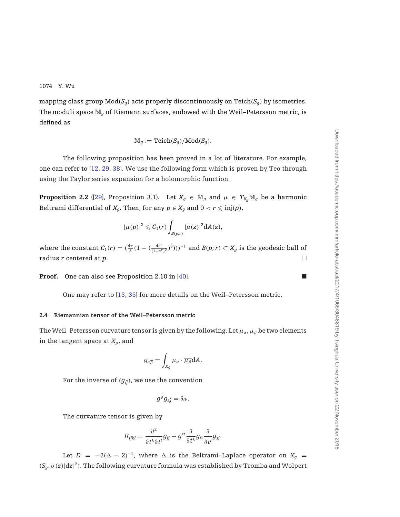<span id="page-8-0"></span>mapping class group  $Mod(S_q)$  acts properly discontinuously on Teich( $S_q$ ) by isometries. The moduli space M*<sup>g</sup>* of Riemann surfaces, endowed with the Weil–Petersson metric, is defined as

$$
\mathbb{M}_g := \mathrm{Teich}(S_g)/\mathrm{Mod}(S_g).
$$

The following proposition has been proved in a lot of literature. For example, one can refer to [\[12,](#page-34-0) [29](#page-35-0), [38\]](#page-36-0). We use the following form which is proven by Teo through using the Taylor series expansion for a holomorphic function.

**Proposition 2.2** ([\[29](#page-35-0)], Proposition 3.1). Let  $X_q \in \mathbb{M}_q$  and  $\mu \in T_{X_q}\mathbb{M}_q$  be a harmonic Beltrami differential of  $X_g$ . Then, for any  $p \in X_g$  and  $0 < r \leqslant \operatorname{inj}(p)$ ,

$$
|\mu(p)|^2\leqslant C_1(r)\int_{B(p;r)}|\mu(z)|^2{\rm d}A(z),
$$

where the constant  $C_1(r) = (\frac{4\pi}{3}(1 - (\frac{4e^r}{(1+e^r)^2})^3)))^{-1}$  and  $B(p;r) \subset X_g$  is the geodesic ball of radius *r* centered at *p*.

**Proof.** One can also see Proposition 2.10 in [\[40](#page-36-0)].

One may refer to [\[13](#page-34-0), [35\]](#page-35-0) for more details on the Weil–Petersson metric.

#### **2.4 Riemannian tensor of the Weil–Petersson metric**

The Weil–Petersson curvature tensor is given by the following. Let  $\mu_{\alpha}, \mu_{\beta}$  be two elements in the tangent space at *Xg*, and

$$
g_{\alpha\overline\beta}=\int_{X_g}\mu_{\alpha}\cdot\overline{\mu_{\beta}}\mathrm{d} A.
$$

For the inverse of  $(g_{i\bar{i}})$ , we use the convention

$$
g^{i\bar{j}}g_{k\bar{j}}=\delta_{ik}.
$$

The curvature tensor is given by

$$
R_{i\bar{j}k\bar{l}}=\frac{\partial^2}{\partial t^k\partial \overline{t}^l}g_{i\bar{j}}-g^{s\bar{t}}\frac{\partial}{\partial t^k}g_{i\bar{t}}\frac{\partial}{\partial \overline{t}^l}g_{s\bar{j}}.
$$

Let *D* = −2( $\Delta$  − 2)<sup>-1</sup>, where  $\Delta$  is the Beltrami–Laplace operator on  $X_q$  =  $(S_g, \sigma(z)|dz|^2)$ . The following curvature formula was established by Tromba and Wolpert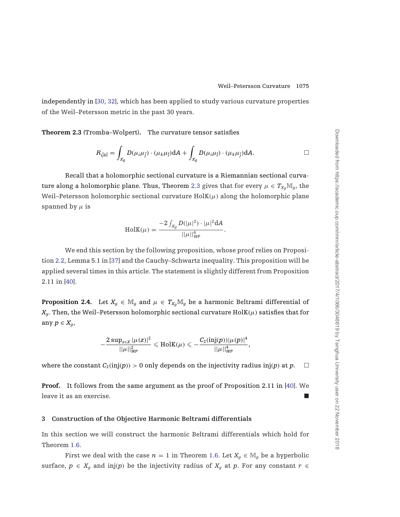<span id="page-9-0"></span>independently in [\[30,](#page-35-0) [32\]](#page-35-0), which has been applied to study various curvature properties of the Weil–Petersson metric in the past 30 years.

**Theorem 2.3** (Tromba–Wolpert)**.** The curvature tensor satisfies

$$
R_{i\bar{j}k\bar{l}} = \int_{X_g} D(\mu_i \mu_{\bar{j}}) \cdot (\mu_k \mu_{\bar{l}}) dA + \int_{X_g} D(\mu_i \mu_{\bar{l}}) \cdot (\mu_k \mu_{\bar{j}}) dA.
$$

Recall that a holomorphic sectional curvature is a Riemannian sectional curvature along a holomorphic plane. Thus, Theorem 2.3 gives that for every  $\mu \in T_{X_q} \mathbb{M}_q$ , the Weil–Petersson holomorphic sectional curvature  $HolK(\mu)$  along the holomorphic plane spanned by  $\mu$  is

HolK(
$$
\mu
$$
) = 
$$
\frac{-2 \int_{X_g} D(|\mu|^2) \cdot |\mu|^2 dA}{||\mu||_{WP}^4}.
$$

We end this section by the following proposition, whose proof relies on Proposition [2.2,](#page-8-0) Lemma 5.1 in [\[37](#page-36-0)] and the Cauchy–Schwartz inequality. This proposition will be applied several times in this article. The statement is slightly different from Proposition 2.11 in [\[40\]](#page-36-0).

**Proposition 2.4.** Let  $X_g \in \mathbb{M}_g$  and  $\mu \in T_{X_g} \mathbb{M}_g$  be a harmonic Beltrami differential of  $X_a$ . Then, the Weil–Petersson holomorphic sectional curvature  $HolK(\mu)$  satisfies that for any  $p \in X_q$ ,

$$
-\frac{2\sup_{z\in X}|\mu(z)|^2}{||\mu||^2_{W^p}}\leqslant \mathrm{HolK}(\mu)\leqslant -\frac{C_2(\mathrm{inj}(p))|\mu(p)|^4}{||\mu||^4_{W^p}},
$$

where the constant  $C_2(\text{inj}(p)) > 0$  only depends on the injectivity radius  $\text{inj}(p)$  at  $p$ .

**Proof.** It follows from the same argument as the proof of Proposition 2.11 in [\[40\]](#page-36-0). We leave it as an exercise.

## **3 Construction of the Objective Harmonic Beltrami differentials**

In this section we will construct the harmonic Beltrami differentials which hold for Theorem [1.6.](#page-5-0)

First we deal with the case  $n = 1$  in Theorem [1.6.](#page-5-0) Let  $X_q \in M_q$  be a hyperbolic surface,  $p \in X_g$  and inj(p) be the injectivity radius of  $X_g$  at p. For any constant  $r \in$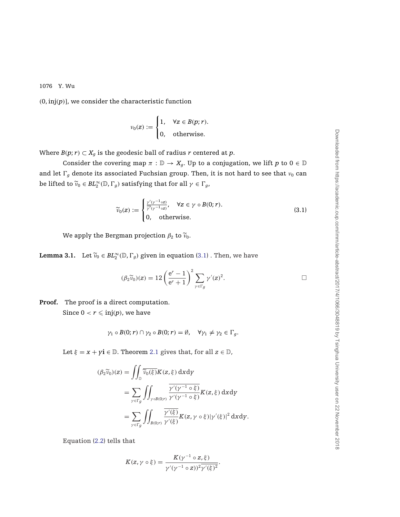<span id="page-10-0"></span> $(0, inj(p))$ , we consider the characteristic function

$$
v_0(z) := \begin{cases} 1, & \forall z \in B(p; r). \\ 0, & \text{otherwise.} \end{cases}
$$

Where  $B(p; r) \subset X_q$  is the geodesic ball of radius *r* centered at *p*.

Consider the covering map  $\pi : \mathbb{D} \to X_q$ . Up to a conjugation, we lift *p* to  $0 \in \mathbb{D}$ and let  $\Gamma_g$  denote its associated Fuchsian group. Then, it is not hard to see that  $\nu_0$  can be lifted to  $\widetilde{v}_0 \in BL_2^{\infty}(\mathbb{D}, \Gamma_g)$  satisfying that for all  $\gamma \in \Gamma_g$ ,

$$
\widetilde{\nu}_0(z) := \begin{cases}\n\frac{\gamma'(\gamma^{-1} \circ z)}{\gamma'(\gamma^{-1} \circ z)}, & \forall z \in \gamma \circ B(0; r). \\
0, & \text{otherwise.} \n\end{cases}
$$
\n(3.1)

We apply the Bergman projection  $\beta_2$  to  $\widetilde{\nu}_0$ .

**Lemma 3.1.** Let  $\widetilde{v}_0 \in BL_2^{\infty}(\mathbb{D}, \Gamma_g)$  given in equation [\(3.1\)](#page-9-0). Then, we have

$$
(\beta_2 \widetilde{\nu}_0)(z) = 12 \left(\frac{e^r - 1}{e^r + 1}\right)^2 \sum_{\gamma \in \Gamma_g} \gamma'(z)^2.
$$

**Proof.** The proof is a direct computation.

Since  $0 < r \leqslant \operatorname{inj}(p)$ , we have

$$
\gamma_1 \circ B(0; r) \cap \gamma_2 \circ B(0; r) = \emptyset, \quad \forall \gamma_1 \neq \gamma_2 \in \Gamma_g.
$$

Let  $\xi = x + yi \in \mathbb{D}$ . Theorem [2.1](#page-7-0) gives that, for all  $z \in \mathbb{D}$ ,

$$
(\beta_2 \widetilde{v}_0)(z) = \iint_{\mathbb{D}} \widetilde{\widetilde{v}_0(\xi)} K(z, \xi) \, dxdy
$$
  
= 
$$
\sum_{\gamma \in \Gamma_g} \iint_{\gamma \circ B(0; r)} \frac{\gamma'(\gamma^{-1} \circ \xi)}{\gamma'(\gamma^{-1} \circ \xi)} K(z, \xi) \, dxdy
$$
  
= 
$$
\sum_{\gamma \in \Gamma_g} \iint_{B(0; r)} \frac{\gamma'(\xi)}{\gamma'(\xi)} K(z, \gamma \circ \xi) |\gamma'(\xi)|^2 \, dxdy.
$$

Equation [\(2.2\)](#page-6-0) tells that

$$
K(z, \gamma \circ \xi) = \frac{K(\gamma^{-1} \circ z, \xi)}{\gamma'(\gamma^{-1} \circ z))^2 \overline{\gamma'(\xi)^2}}.
$$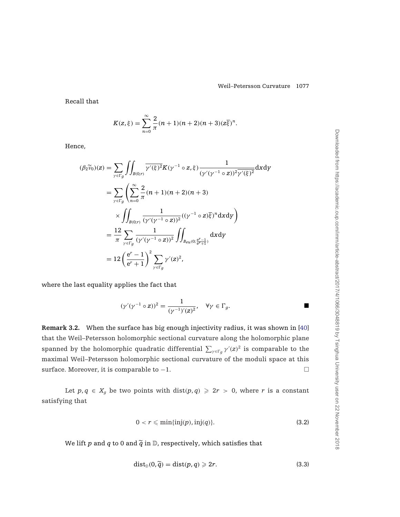<span id="page-11-0"></span>Recall that

$$
K(z,\xi) = \sum_{n=0}^{\infty} \frac{2}{\pi} (n+1)(n+2)(n+3)(z\overline{\xi})^n.
$$

Hence,

$$
(\beta_2 \widetilde{v}_0)(z) = \sum_{\gamma \in \Gamma_g} \iint_{B(0;r)} \overline{\gamma'(\xi)^2} K(\gamma^{-1} \circ z, \xi) \frac{1}{(\gamma'(\gamma^{-1} \circ z))^2 \overline{\gamma'(\xi)^2}} dxdy
$$
  
\n
$$
= \sum_{\gamma \in \Gamma_g} \left( \sum_{n=0}^{\infty} \frac{2}{\pi} (n+1)(n+2)(n+3) \right)
$$
  
\n
$$
\times \iint_{B(0;r)} \frac{1}{(\gamma'(\gamma^{-1} \circ z))^2} ((\gamma^{-1} \circ z)\overline{\xi})^n dxdy
$$
  
\n
$$
= \frac{12}{\pi} \sum_{\gamma \in \Gamma_g} \frac{1}{(\gamma'(\gamma^{-1} \circ z))^2} \iint_{B_{eu}(0; \frac{e^r-1}{e^r+1})} dxdy
$$
  
\n
$$
= 12 \left( \frac{e^r-1}{e^r+1} \right)^2 \sum_{\gamma \in \Gamma_g} \gamma'(z)^2,
$$

where the last equality applies the fact that

$$
(\gamma'(\gamma^{-1}\circ z))^2=\frac{1}{(\gamma^{-1})'(z)^2},\quad \forall \gamma\in \Gamma_g.
$$

**Remark 3.2.** When the surface has big enough injectivity radius, it was shown in [\[40](#page-36-0)] that the Weil–Petersson holomorphic sectional curvature along the holomorphic plane spanned by the holomorphic quadratic differential  $\sum_{\gamma \in \Gamma_g} \gamma'(z)^2$  is comparable to the maximal Weil–Petersson holomorphic sectional curvature of the moduli space at this surface. Moreover, it is comparable to  $-1$ .

Let  $p, q \in X_q$  be two points with dist( $p, q$ )  $\geq 2r > 0$ , where *r* is a constant satisfying that

$$
0 < r \leqslant \min\{\text{inj}(p), \text{inj}(q)\}.
$$
\n(3.2)

We lift  $p$  and  $q$  to 0 and  $\tilde{q}$  in  $\mathbb{D}$ , respectively, which satisfies that

$$
\text{dist}_{\mathbb{D}}(0,\widetilde{q}) = \text{dist}(p,q) \geqslant 2r. \tag{3.3}
$$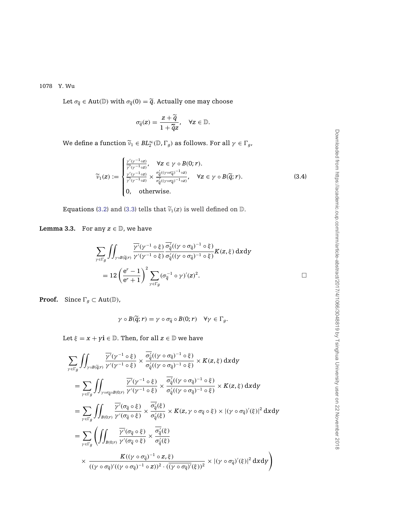<span id="page-12-0"></span>Let  $\sigma_{\tilde{q}} \in \text{Aut}(\mathbb{D})$  with  $\sigma_{\tilde{q}}(0) = \tilde{q}$ . Actually one may choose

$$
\sigma_{\widetilde{q}}(z) = \frac{z + \widetilde{q}}{1 + \widetilde{q}z}, \quad \forall z \in \mathbb{D}.
$$

We define a function  $\widetilde{\nu}_1 \in BL_2^{\infty}(\mathbb{D}, \Gamma_g)$  as follows. For all  $\gamma \in \Gamma_g$ ,

$$
\widetilde{\nu}_{1}(z) := \begin{cases}\n\frac{\gamma'(\gamma^{-1}\circ z)}{\gamma'(\gamma^{-1}\circ z)}, & \forall z \in \gamma \circ B(0; r). \\
\frac{\gamma'(\gamma^{-1}\circ z)}{\gamma'(\gamma^{-1}\circ z)} \times \frac{\sigma_{\widetilde{q}}'((\gamma \circ \sigma_{\widetilde{q}})^{-1} \circ z)}{\sigma_{\widetilde{q}}'((\gamma \circ \sigma_{\widetilde{q}})^{-1} \circ z)}, & \forall z \in \gamma \circ B(\widetilde{q}; r).\n\end{cases}
$$
\n(3.4)\n  
\n0, otherwise.

Equations [\(3.2\)](#page-11-0) and [\(3.3\)](#page-11-0) tells that  $\widetilde{v}_1(z)$  is well defined on  $\mathbb D$ .

**Lemma 3.3.** For any  $z \in \mathbb{D}$ , we have

$$
\sum_{\gamma \in \Gamma_g} \iint_{\gamma \circ B(\tilde{q};r)} \frac{\overline{\gamma'}(\gamma^{-1} \circ \xi)}{\gamma'(\gamma^{-1} \circ \xi)} \frac{\overline{\sigma'_{\tilde{q}}}((\gamma \circ \sigma_{\tilde{q}})^{-1} \circ \xi)}{\sigma'_{\tilde{q}}((\gamma \circ \sigma_{\tilde{q}})^{-1} \circ \xi)} K(z,\xi) \,dxdy
$$
  
= 12  $\left(\frac{e^r - 1}{e^r + 1}\right)^2 \sum_{\gamma \in \Gamma_g} (\sigma_{\tilde{q}}^{-1} \circ \gamma)'(z)^2.$ 

**Proof.** Since  $\Gamma_g \subset \text{Aut}(\mathbb{D})$ ,

$$
\gamma \circ B(\widetilde{q};r) = \gamma \circ \sigma_{\widetilde{q}} \circ B(0;r) \quad \forall \gamma \in \Gamma_g.
$$

Let  $\xi = x + yi \in \mathbb{D}$ . Then, for all  $z \in \mathbb{D}$  we have

$$
\sum_{\gamma \in \Gamma_g} \iint_{\gamma \circ B(\tilde{q};r)} \frac{\overline{\gamma'}(\gamma^{-1} \circ \xi)}{\gamma'(\gamma^{-1} \circ \xi)} \times \frac{\overline{\sigma}_{\tilde{q}}((\gamma \circ \sigma_{\tilde{q}})^{-1} \circ \xi)}{\sigma_{\tilde{q}}'((\gamma \circ \sigma_{\tilde{q}})^{-1} \circ \xi)} \times K(z, \xi) \, dxdy
$$
\n
$$
= \sum_{\gamma \in \Gamma_g} \iint_{\gamma \circ \sigma_{\tilde{q}} \circ B(0; r)} \frac{\overline{\gamma'}(\gamma^{-1} \circ \xi)}{\gamma'(\gamma^{-1} \circ \xi)} \times \frac{\overline{\sigma}_{\tilde{q}}'((\gamma \circ \sigma_{\tilde{q}})^{-1} \circ \xi)}{\sigma_{\tilde{q}}'((\gamma \circ \sigma_{\tilde{q}})^{-1} \circ \xi)} \times K(z, \xi) \, dxdy
$$
\n
$$
= \sum_{\gamma \in \Gamma_g} \iint_{B(0; r)} \frac{\overline{\gamma'}(\sigma_{\tilde{q}} \circ \xi)}{\gamma'(\sigma_{\tilde{q}} \circ \xi)} \times \frac{\overline{\sigma}_{\tilde{q}}'(\xi)}{\sigma_{\tilde{q}}'(\xi)} \times K(z, \gamma \circ \sigma_{\tilde{q}} \circ \xi) \times |(\gamma \circ \sigma_{\tilde{q}})'(\xi)|^2 \, dxdy
$$
\n
$$
= \sum_{\gamma \in \Gamma_g} \left( \iint_{B(0; r)} \frac{\overline{\gamma'}(\sigma_{\tilde{q}} \circ \xi)}{\gamma'(\sigma_{\tilde{q}} \circ \xi)} \times \frac{\overline{\sigma}_{\tilde{q}}'(\xi)}{\sigma_{\tilde{q}}'(\xi)}
$$
\n
$$
\times \frac{K((\gamma \circ \sigma_{\tilde{q}})^{-1} \circ z, \xi)}{((\gamma \circ \sigma_{\tilde{q}})'((\gamma \circ \sigma_{\tilde{q}})^{-1} \circ z))^2 \cdot ((\gamma \circ \sigma_{\tilde{q}})'(\xi))^2} \times |(\gamma \circ \sigma_{\tilde{q}})'(\xi)|^2 \, dxdy
$$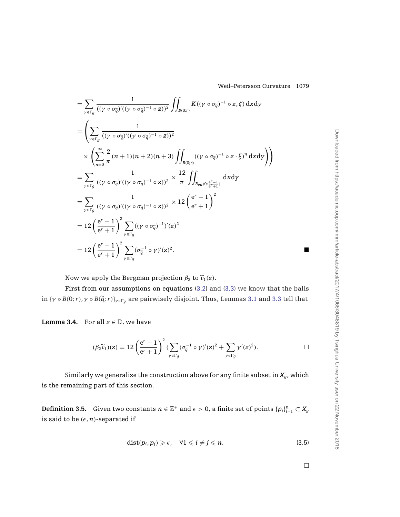<span id="page-13-0"></span>
$$
= \sum_{\gamma \in \Gamma_g} \frac{1}{((\gamma \circ \sigma_{\tilde{q}})'((\gamma \circ \sigma_{\tilde{q}})^{-1} \circ z))^2} \iint_{B(0;r)} K((\gamma \circ \sigma_{\tilde{q}})^{-1} \circ z, \xi) dxdy
$$
  
\n
$$
= \left( \sum_{\gamma \in \Gamma_g} \frac{1}{((\gamma \circ \sigma_{\tilde{q}})'((\gamma \circ \sigma_{\tilde{q}})^{-1} \circ z))^2} \times \left( \sum_{n=0}^{\infty} \frac{2}{\pi} (n+1)(n+2)(n+3) \iint_{B(0;r)} ((\gamma \circ \sigma_{\tilde{q}})^{-1} \circ z \cdot \overline{\xi})^n dxdy \right) \right)
$$
  
\n
$$
= \sum_{\gamma \in \Gamma_g} \frac{1}{((\gamma \circ \sigma_{\tilde{q}})'((\gamma \circ \sigma_{\tilde{q}})^{-1} \circ z))^2} \times \frac{12}{\pi} \iint_{B_{\rho(u)}(0; \frac{e^r-1}{e^r+1})} dxdy
$$
  
\n
$$
= \sum_{\gamma \in \Gamma_g} \frac{1}{((\gamma \circ \sigma_{\tilde{q}})'((\gamma \circ \sigma_{\tilde{q}})^{-1} \circ z))^2} \times 12 \left( \frac{e^r-1}{e^r+1} \right)^2
$$
  
\n
$$
= 12 \left( \frac{e^r-1}{e^r+1} \right)^2 \sum_{\gamma \in \Gamma_g} ((\gamma \circ \sigma_{\tilde{q}})^{-1})'(z)^2
$$
  
\n
$$
= 12 \left( \frac{e^r-1}{e^r+1} \right)^2 \sum_{\gamma \in \Gamma_g} (\sigma_{\tilde{q}}^{-1} \circ \gamma)'(z)^2.
$$

Now we apply the Bergman projection  $\beta_2$  to  $\tilde{v}_1(z)$ .

First from our assumptions on equations [\(3.2\)](#page-11-0) and [\(3.3\)](#page-11-0) we know that the balls in  $\{\gamma \circ B(0; r), \gamma \circ B(\tilde{q}; r)\}_{\gamma \in \Gamma_q}$  are pairwisely disjoint. Thus, Lemmas [3.1](#page-10-0) and [3.3](#page-12-0) tell that

**Lemma 3.4.** For all  $z \in \mathbb{D}$ , we have

$$
(\beta_2 \widetilde{v}_1)(z) = 12 \left(\frac{e^r - 1}{e^r + 1}\right)^2 \left(\sum_{\gamma \in \Gamma_g} (\sigma_{\widetilde{q}}^{-1} \circ \gamma)'(z)^2 + \sum_{\gamma \in \Gamma_g} \gamma'(z)^2\right).
$$

Similarly we generalize the construction above for any finite subset in  $X_q$ , which is the remaining part of this section.

**Definition 3.5.** Given two constants  $n \in \mathbb{Z}^+$  and  $\epsilon > 0$ , a finite set of points  $\{p_i\}_{i=1}^n \subset X_g$ is said to be  $(\epsilon, n)$ -separated if

$$
dist(p_i, p_j) \geq \epsilon, \quad \forall 1 \leq i \neq j \leq n. \tag{3.5}
$$

 $\Box$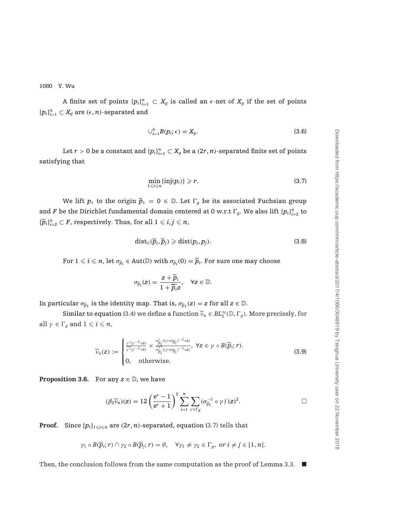A finite set of points  $\{p_i\}_{i=1}^n \subset X_g$  is called an  $\epsilon$ -net of  $X_g$  if the set of points  ${p_i}_{i=1}^n \subset X_g$  are  $(\epsilon, n)$ -separated and

$$
\bigcup_{i=1}^{n} B(p_i; \epsilon) = X_g. \tag{3.6}
$$

Let  $r > 0$  be a constant and  $\{p_i\}_{i=1}^n \subset X_g$  be a  $(2r, n)$ -separated finite set of points satisfying that

$$
\min_{1 \leq i \leq n} \{ \text{inj}(p_i) \} \geqslant r. \tag{3.7}
$$

We lift  $p_1$  to the origin  $\tilde{p}_1 = 0 \in \mathbb{D}$ . Let  $\Gamma_g$  be its associated Fuchsian group and *F* be the Dirichlet fundamental domain centered at 0 w.r.t  $\Gamma_g$ . We also lift  $\{p_i\}_{i=2}^n$  to  ${\{\widetilde{p}_i\}}_{i=2}^n \subset F$ , respectively. Thus, for all  $1 \leq i,j \leq n$ ,

$$
dist_{\mathbb{D}}(\widetilde{p}_i,\widetilde{p}_j) \geq dist(p_i,p_j). \tag{3.8}
$$

For  $1 \leqslant i \leqslant n$ , let  $\sigma_{\widetilde{p}_i} \in$  Aut $(\mathbb{D})$  with  $\sigma_{\widetilde{p}_i}(0) = \widetilde{p}_i$ . For sure one may choose

$$
\sigma_{\widetilde{p}_i}(z) = \frac{z + \widetilde{p}_i}{1 + \widetilde{p}_i z}, \quad \forall z \in \mathbb{D}.
$$

In particular  $\sigma_{\tilde{p}_1}$  is the identity map. That is,  $\sigma_{\tilde{p}_1}(z) = z$  for all  $z \in \mathbb{D}$ .

Similar to equation [\(3.4\)](#page-11-0) we define a function  $\widetilde{v}_n \in BL_2^{\infty}(\mathbb{D}, \Gamma_g)$ . More precisely, for all  $\gamma \in \Gamma_g$  and  $1 \leqslant i \leqslant n$ ,

$$
\widetilde{\nu}_n(z) := \begin{cases} \frac{\gamma'(\gamma^{-1} \circ z)}{\gamma(\gamma^{-1} \circ z)} \times \frac{\sigma'_{\widetilde{p}_i}((\gamma \circ \sigma_{\widetilde{p}_i})^{-1} \circ z)}{\sigma'_{\widetilde{p}_i}((\gamma \circ \sigma_{\widetilde{p}_i})^{-1} \circ z)}, \ \forall z \in \gamma \circ B(\widetilde{p}_i; r). \\ 0, \quad \text{otherwise.} \end{cases} \tag{3.9}
$$

**Proposition 3.6.** For any  $z \in \mathbb{D}$ , we have

$$
(\beta_2 \widetilde{\nu}_n)(z) = 12 \left(\frac{e^r - 1}{e^r + 1}\right)^2 \sum_{i=1}^n \sum_{\gamma \in \Gamma_g} (\sigma_{\widetilde{p}_i}^{-1} \circ \gamma)'(z)^2.
$$

**Proof.** Since  $\{p_i\}_{1\leqslant i\leqslant n}$  are  $(2r, n)$ -separated, equation [\(3.7\)](#page-13-0) tells that

$$
\gamma_1 \circ B(\widetilde{p}_i; r) \cap \gamma_2 \circ B(\widetilde{p}_j; r) = \emptyset, \quad \forall \gamma_1 \neq \gamma_2 \in \Gamma_g, \text{ or } i \neq j \in [1, n].
$$

Then, the conclusion follows from the same computation as the proof of Lemma [3.3.](#page-12-0)  $\blacksquare$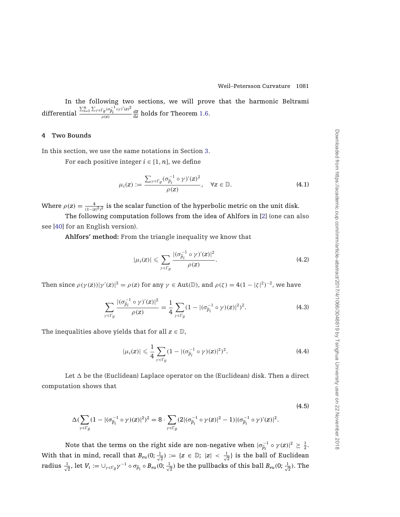<span id="page-15-0"></span>In the following two sections, we will prove that the harmonic Beltrami differential  $\frac{\sum_{i=1}^{n}\sum_{\gamma\in\Gamma g}(\sigma_{\widetilde{p}_i}^{-1}\circ\gamma)'(z)^2}{\sigma(z)}$  $\frac{d\bar{g}}{\rho(z)}\frac{\partial^2 p_i}{\partial z^2}$  holds for Theorem [1.6.](#page-5-0)

#### **4 Two Bounds**

In this section, we use the same notations in Section [3.](#page-9-0)

For each positive integer  $i \in [1, n]$ , we define

$$
\mu_i(z) := \frac{\sum_{\gamma \in \Gamma_g} (\sigma_{\widetilde{p}_i}^{-1} \circ \gamma)'(z)^2}{\rho(z)}, \quad \forall z \in \mathbb{D}.
$$
 (4.1)

Where  $\rho(z) = \frac{4}{(1-|z|^2)^2}$  is the scalar function of the hyperbolic metric on the unit disk.

The following computation follows from the idea of Ahlfors in [\[2](#page-34-0)] (one can also see [\[40](#page-36-0)] for an English version).

**Ahlfors' method:** From the triangle inequality we know that

$$
|\mu_i(z)| \leqslant \sum_{\gamma \in \Gamma_g} \frac{|(\sigma_{\widetilde{p}_i}^{-1} \circ \gamma)'(z)|^2}{\rho(z)}.
$$
\n(4.2)

Then since  $\rho(\gamma(z))|\gamma'(z)|^2 = \rho(z)$  for any  $\gamma \in Aut(\mathbb{D})$ , and  $\rho(\zeta) = 4(1 - |\zeta|^2)^{-2}$ , we have

$$
\sum_{\gamma \in \Gamma_g} \frac{|(\sigma_{\widetilde{p}_i}^{-1} \circ \gamma)'(z)|^2}{\rho(z)} = \frac{1}{4} \sum_{\gamma \in \Gamma_g} (1 - |(\sigma_{\widetilde{p}_i}^{-1} \circ \gamma)(z)|^2)^2.
$$
 (4.3)

The inequalities above yields that for all  $z \in \mathbb{D}$ ,

$$
|\mu_i(z)| \leq \frac{1}{4} \sum_{\gamma \in \Gamma_g} (1 - |(\sigma_{\widetilde{p}_i}^{-1} \circ \gamma)(z)|^2)^2.
$$
 (4.4)

Let  $\Delta$  be the (Euclidean) Laplace operator on the (Euclidean) disk. Then a direct computation shows that

$$
\Delta (\sum_{\gamma \in \Gamma g} (1-|(\sigma_{\widetilde{p}_i}^{-1}\circ \gamma)(z)|^2)^2=8\cdot \sum_{\gamma \in \Gamma g} (2|(\sigma_{\widetilde{p}_i}^{-1}\circ \gamma(z)|^2-1)|(\sigma_{\widetilde{p}_i}^{-1}\circ \gamma)'(z)|^2.
$$

Note that the terms on the right side are non-negative when  $|\sigma_{\tilde{p}_i}^{-1} \circ \gamma(z)|^2 \ge \frac{1}{2}$ . With that in mind, recall that  $B_{eu}(0;\frac{1}{\sqrt{2}}) := \{z \in \mathbb{D}; |z| < \frac{1}{\sqrt{2}}\}$  is the ball of Euclidean  $\tau$ adius  $\frac{1}{\sqrt{2}}$ , let  $V_i:=\cup_{\gamma\in \Gamma_g} \gamma^{-1}\circ \sigma_{\widetilde p_i}\circ B_{eu}(0;\frac{1}{\sqrt{2}})$  be the pullbacks of this ball  $B_{eu}(0;\frac{1}{\sqrt{2}}).$  The

(4.5)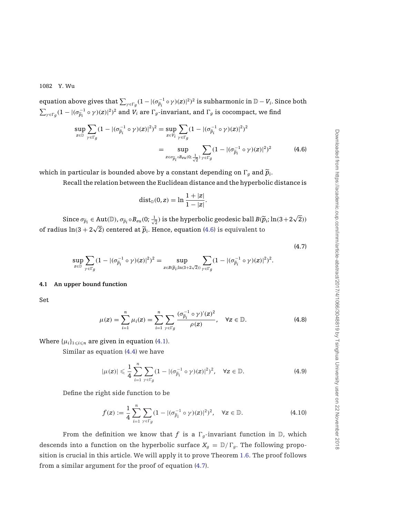<span id="page-16-0"></span>equation above gives that  $\sum_{\gamma \in \Gamma_g} (1 - |(\sigma_{\widetilde{p}_i}^{-1} \circ \gamma)(z)|^2)^2$  is subharmonic in  $\mathbb{D} - V_i$ . Since both  $\sum_{\gamma \in \Gamma_g} (1 - |(\sigma_{\widetilde{p}_i}^{-1} \circ \gamma)(z)|^2)^2$  and  $V_i$  are  $\Gamma_g$ -invariant, and  $\Gamma_g$  is cocompact, we find

$$
\sup_{z \in \mathbb{D}} \sum_{\gamma \in \Gamma_g} (1 - |(\sigma_{\tilde{p}_i}^{-1} \circ \gamma)(z)|^2)^2 = \sup_{z \in V_i} \sum_{\gamma \in \Gamma_g} (1 - |(\sigma_{\tilde{p}_i}^{-1} \circ \gamma)(z)|^2)^2
$$
  
= 
$$
\sup_{z \in \sigma_{\tilde{p}_i} \circ Be(u_0; \frac{1}{\sqrt{2}})} \sum_{\gamma \in \Gamma_g} (1 - |(\sigma_{\tilde{p}_i}^{-1} \circ \gamma)(z)|^2)^2
$$
(4.6)

which in particular is bounded above by a constant depending on  $\Gamma_q$  and  $\widetilde{p}_i$ .

Recall the relation between the Euclidean distance and the hyperbolic distance is

$$
\mathrm{dist}_{\mathbb{D}}(0,z)=\ln\frac{1+|z|}{1-|z|}.
$$

Since  $\sigma_{\widetilde{p}_i} \in \text{Aut}(\mathbb{D})$ ,  $\sigma_{\widetilde{p}_i} \circ B_{eu}(0; \frac{1}{\sqrt{2}})$  is the hyperbolic geodesic ball  $B(\widetilde{p}_i; \ln(3+2\sqrt{2}))$ of radius  $\ln(3 + 2\sqrt{2})$  centered at  $\tilde{p}_i$ . Hence, equation [\(4.6\)](#page-15-0) is equivalent to

$$
\sup_{z\in\mathbb{D}}\sum_{\gamma\in\Gamma_g}(1-|(\sigma_{\widetilde{p}_i}^{-1}\circ\gamma)(z)|^2)^2=\sup_{z\in B(\widetilde{p}_i;\ln(3+2\sqrt{2}))}\sum_{\gamma\in\Gamma_g}(1-|(\sigma_{\widetilde{p}_i}^{-1}\circ\gamma)(z)|^2)^2.
$$

#### **4.1 An upper bound function**

Set

$$
\mu(z) = \sum_{i=1}^{n} \mu_i(z) = \sum_{i=1}^{n} \sum_{\gamma \in \Gamma_g} \frac{(\sigma_{\widetilde{p}_i}^{-1} \circ \gamma)'(z)^2}{\rho(z)}, \quad \forall z \in \mathbb{D}.
$$
 (4.8)

Where  $\{\mu_i\}_{1\leqslant i\leqslant n}$  are given in equation [\(4.1\)](#page-15-0).

Similar as equation [\(4.4\)](#page-15-0) we have

$$
|\mu(z)| \leqslant \frac{1}{4} \sum_{i=1}^{n} \sum_{\gamma \in \Gamma_g} (1 - |(\sigma_{\widetilde{p}_i}^{-1} \circ \gamma)(z)|^2)^2, \quad \forall z \in \mathbb{D}.
$$
 (4.9)

Define the right side function to be

$$
f(z) := \frac{1}{4} \sum_{i=1}^{n} \sum_{\gamma \in \Gamma_g} (1 - |(\sigma_{\widetilde{p}_i}^{-1} \circ \gamma)(z)|^2)^2, \quad \forall z \in \mathbb{D}.
$$
 (4.10)

From the definition we know that *f* is a  $\Gamma_g$ -invariant function in D, which descends into a function on the hyperbolic surface  $X_g = D/\Gamma_g$ . The following proposition is crucial in this article. We will apply it to prove Theorem [1.6.](#page-5-0) The proof follows from a similar argument for the proof of equation [\(4.7\)](#page-15-0).

(4.7)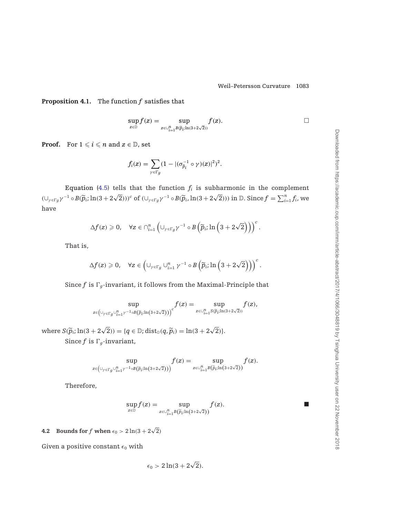**Proposition 4.1.** The function *f* satisfies that

$$
\sup_{z\in\mathbb{D}}f(z)=\sup_{z\in\cup_{i=1}^n B(\widetilde{p}_i;\ln(3+2\sqrt{2}))}f(z).
$$

**Proof.** For  $1 \leqslant i \leqslant n$  and  $z \in \mathbb{D}$ , set

$$
f_i(z) = \sum_{\gamma \in \Gamma_g} (1 - |(\sigma_{\widetilde{p}_i}^{-1} \circ \gamma)(z)|^2)^2.
$$

Equation [\(4.5\)](#page-15-0) tells that the function  $f_i$  is subharmonic in the complement  $(\cup_{\gamma \in \Gamma_g} \gamma^{-1} \circ B(\widetilde{p}_i; \ln(3 + 2\sqrt{2})))^c$  of  $(\cup_{\gamma \in \Gamma_g} \gamma^{-1} \circ B(\widetilde{p}_i, \ln(3 + 2\sqrt{2})))$  in D. Since  $f = \sum_{i=1}^n f_i$ , we have

$$
\Delta f(z) \geqslant 0, \quad \forall z \in \cap_{i=1}^n \left( \cup_{\gamma \in \Gamma_g} \gamma^{-1} \circ B\left(\widetilde{p}_i; \ln\left(3 + 2\sqrt{2}\right)\right)\right)^c.
$$

That is,

$$
\Delta f(z) \geqslant 0, \quad \forall z \in \left(\cup_{\gamma \in \Gamma_g} \cup_{i=1}^n \gamma^{-1} \circ B\left(\widetilde{p}_{i};\ln\left(3+2\sqrt{2}\right)\right)\right)^c.
$$

Since  $f$  is  $\Gamma_q$ -invariant, it follows from the Maximal-Principle that

$$
\sup_{z\in \left( \cup_{\gamma\in \Gamma g}\cup_{i=1}^n \gamma^{-1}\circ B(\widetilde p_i; \ln(3+2\sqrt{2})\right)^c}f(z)=\sup_{z\in \cup_{i=1}^n S(\widetilde p_i; \ln(3+2\sqrt{2}))}f(z),
$$

where  $S(\widetilde{p}_i; \ln(3 + 2\sqrt{2})) = \{q \in \mathbb{D}; \text{dist}_{\mathbb{D}}(q, \widetilde{p}_i) = \ln(3 + 2\sqrt{2})\}.$ Since  $f$  is  $\Gamma_g$ -invariant,

$$
\sup_{z\in \left(\cup_{\gamma\in \Gamma g}\cup_{i=1}^n \gamma^{-1}\circ B\left(\widetilde{p}_i;\ln\left(3+2\sqrt{2}\right)\right)\right)}f(z)=\sup_{z\in \cup_{i=1}^n B\left(\widetilde{p}_i;\ln\left(3+2\sqrt{2}\right)\right)}f(z).
$$

Therefore,

$$
\sup_{z \in \mathbb{D}} f(z) = \sup_{z \in \cup_{i=1}^n B(\widetilde{p}_i; \ln(3+2\sqrt{2}))} f(z).
$$

**4.2** Bounds for  $f$  when  $\epsilon_0 > 2 \ln(3 + 2\sqrt{2})$ 

Given a positive constant  $\epsilon_0$  with

$$
\epsilon_0 > 2\ln(3 + 2\sqrt{2}).
$$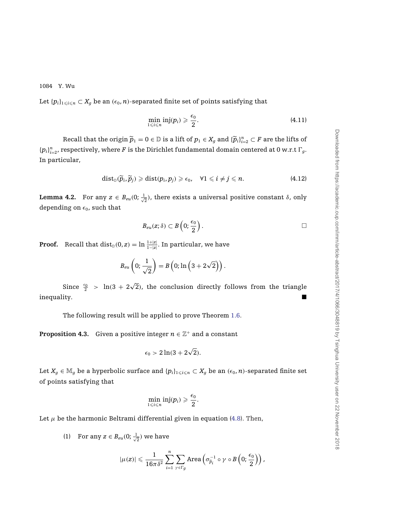<span id="page-18-0"></span>Let  $\{p_i\}_{1\leqslant i\leqslant n}\subset X_g$  be an  $(\epsilon_0,n)$ -separated finite set of points satisfying that

$$
\min_{1\leqslant i\leqslant n}\mathrm{inj}(p_i)\geqslant \frac{\epsilon_0}{2}.\tag{4.11}
$$

 $\text{Recall that the origin } \widetilde{p}_1 = 0 \in \mathbb{D} \text{ is a lift of } p_1 \in X_g \text{ and } \{\widetilde{p}_i\}_{i=2}^n \subset F \text{ are the lifts of } \mathbb{D}$  ${p_i}_{i=2}^n$ , respectively, where *F* is the Dirichlet fundamental domain centered at 0 w.r.t  $\Gamma_g$ . In particular,

$$
\text{dist}_{\mathbb{D}}(\widetilde{p}_i,\widetilde{p}_j)\geqslant \text{dist}(p_i,p_j)\geqslant \epsilon_0,\quad \forall 1\leqslant i\neq j\leqslant n. \tag{4.12}
$$

**Lemma 4.2.** For any  $z \in B_{eu}(0; \frac{1}{\sqrt{2}})$ , there exists a universal positive constant  $\delta$ , only depending on  $\epsilon_0$ , such that

$$
B_{eu}(z;\delta)\subset B\left(0;\frac{\epsilon_0}{2}\right).
$$

**Proof.** Recall that  $dist_{\mathbb{D}}(0, z) = \ln \frac{1+|z|}{1-|z|}$ . In particular, we have

$$
B_{eu}\left(0;\frac{1}{\sqrt{2}}\right)=B\left(0;\ln\left(3+2\sqrt{2}\right)\right).
$$

Since  $\frac{\epsilon_0}{2}$  > ln(3 + 2 $\sqrt{2}$ ), the conclusion directly follows from the triangle inequality.

The following result will be applied to prove Theorem [1.6.](#page-5-0)

**Proposition 4.3.** Given a positive integer  $n \in \mathbb{Z}^+$  and a constant

$$
\epsilon_0 > 2\ln(3 + 2\sqrt{2}).
$$

Let  $X_g \in \mathbb{M}_g$  be a hyperbolic surface and  $\{p_i\}_{1\leqslant i\leqslant n}\subset X_g$  be an  $(\epsilon_0,n)$ -separated finite set of points satisfying that

$$
\min_{1\leq i\leq n}\mathrm{inj}(p_i)\geqslant\frac{\epsilon_0}{2}.
$$

Let  $\mu$  be the harmonic Beltrami differential given in equation [\(4.8\)](#page-16-0). Then,

(1) For any  $z \in B_{eu}(0;\frac{1}{\sqrt{2}})$  we have

$$
|\mu(z)|\leqslant \frac{1}{16\pi\delta^2}\sum_{i=1}^n\sum_{\gamma\in \Gamma g}\text{Area}\left(\sigma^{-1}_{\widetilde p_i}\circ\gamma\circ B\left(0;\frac{\epsilon_0}{2}\right)\right),
$$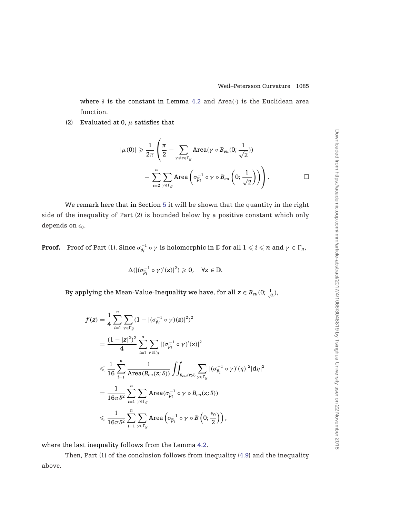where  $\delta$  is the constant in Lemma [4.2](#page-18-0) and Area( $\cdot$ ) is the Euclidean area function.

<span id="page-19-0"></span>(2) Evaluated at 0,  $\mu$  satisfies that

$$
|\mu(0)| \geqslant \frac{1}{2\pi}\left(\frac{\pi}{2}-\sum_{\gamma\neq e\in\Gamma_g}\text{Area}(\gamma\circ B_{eu}(0;\frac{1}{\sqrt{2}}))\right.-\sum_{i=2}^n\sum_{\gamma\in\Gamma_g}\text{Area}\left(\sigma_{\widetilde{p}_i}^{-1}\circ\gamma\circ B_{eu}\left(0;\frac{1}{\sqrt{2}}\right)\right)\right).
$$

We remark here that in Section [5](#page-20-0) it will be shown that the quantity in the right side of the inequality of Part (2) is bounded below by a positive constant which only depends on  $\epsilon_0$ .

**Proof.** Proof of Part (1). Since  $\sigma_{\widetilde{p}_i}^{-1} \circ \gamma$  is holomorphic in  $\mathbb D$  for all  $1 \leqslant i \leqslant n$  and  $\gamma \in \Gamma_g$ ,

$$
\Delta(|(\sigma_{\widetilde{p}_i}^{-1}\circ\gamma)'(z)|^2)\geqslant 0,\quad\forall z\in\mathbb{D}.
$$

By applying the Mean-Value-Inequality we have, for all  $\textstyle z \in B_{eu}(0;\frac{1}{\sqrt{2}})$ ,

$$
f(z) = \frac{1}{4} \sum_{i=1}^{n} \sum_{\gamma \in \Gamma_g} (1 - |(\sigma_{\widetilde{p}_i}^{-1} \circ \gamma)(z)|^2)^2
$$
  
\n
$$
= \frac{(1 - |z|^2)^2}{4} \sum_{i=1}^{n} \sum_{\gamma \in \Gamma_g} |(\sigma_{\widetilde{p}_i}^{-1} \circ \gamma)'(z)|^2
$$
  
\n
$$
\leq \frac{1}{16} \sum_{i=1}^{n} \frac{1}{\text{Area}(B_{eu}(z;\delta))} \iint_{B_{eu}(z;\delta)} \sum_{\gamma \in \Gamma_g} |(\sigma_{\widetilde{p}_i}^{-1} \circ \gamma)'(\eta)|^2 |d\eta|^2
$$
  
\n
$$
= \frac{1}{16\pi\delta^2} \sum_{i=1}^{n} \sum_{\gamma \in \Gamma_g} \text{Area}(\sigma_{\widetilde{p}_i}^{-1} \circ \gamma \circ B_{eu}(z;\delta))
$$
  
\n
$$
\leq \frac{1}{16\pi\delta^2} \sum_{i=1}^{n} \sum_{\gamma \in \Gamma_g} \text{Area}(\sigma_{\widetilde{p}_i}^{-1} \circ \gamma \circ B(0;\frac{\epsilon_0}{2}))
$$

where the last inequality follows from the Lemma [4.2.](#page-18-0)

Then, Part (1) of the conclusion follows from inequality [\(4.9\)](#page-16-0) and the inequality above.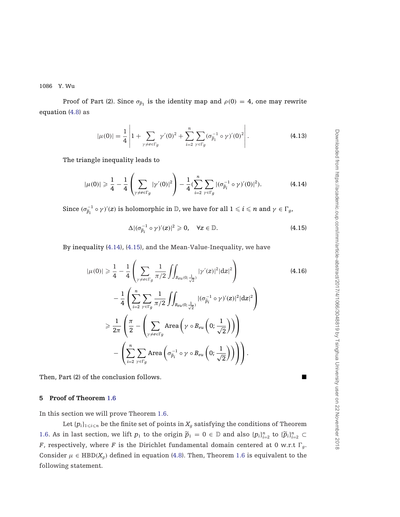<span id="page-20-0"></span>Proof of Part (2). Since  $\sigma_{\tilde{p}_1}$  is the identity map and  $\rho(0) = 4$ , one may rewrite equation [\(4.8\)](#page-16-0) as

$$
|\mu(0)| = \frac{1}{4} \left| 1 + \sum_{\gamma \neq e \in \Gamma_g} \gamma'(0)^2 + \sum_{i=2}^n \sum_{\gamma \in \Gamma_g} (\sigma_{\tilde{p}_i}^{-1} \circ \gamma)'(0)^2 \right|.
$$
 (4.13)

The triangle inequality leads to

$$
|\mu(0)| \geq \frac{1}{4} - \frac{1}{4} \left( \sum_{\gamma \neq e \in \Gamma_g} |\gamma'(0)|^2 \right) - \frac{1}{4} (\sum_{i=2}^n \sum_{\gamma \in \Gamma_g} |(\sigma_{\widetilde{p}_i}^{-1} \circ \gamma)'(0)|^2). \tag{4.14}
$$

Since  $(\sigma_{\widetilde{p}_i}^{-1} \circ \gamma)'(z)$  is holomorphic in  $\mathbb{D}$ , we have for all  $1 \leqslant i \leqslant n$  and  $\gamma \in \Gamma_g$ ,

$$
\Delta |(\sigma_{\widetilde{p}_i}^{-1} \circ \gamma)'(z)|^2 \geqslant 0, \quad \forall z \in \mathbb{D}.
$$
 (4.15)

By inequality [\(4.14\)](#page-19-0), [\(4.15\)](#page-19-0), and the Mean-Value-Inequality, we have

$$
|\mu(0)| \geq \frac{1}{4} - \frac{1}{4} \left( \sum_{\gamma \neq e \in \Gamma_g} \frac{1}{\pi/2} \iint_{B_{eu}(0; \frac{1}{\sqrt{2}})} |\gamma'(z)|^2 |dz|^2 \right) \tag{4.16}
$$
  

$$
- \frac{1}{4} \left( \sum_{i=2}^n \sum_{\gamma \in \Gamma_g} \frac{1}{\pi/2} \iint_{B_{eu}(0; \frac{1}{\sqrt{2}})} |(\sigma_{\tilde{p}_i}^{-1} \circ \gamma)'(z)|^2 |dz|^2 \right)
$$
  

$$
\geq \frac{1}{2\pi} \left( \frac{\pi}{2} - \left( \sum_{\gamma \neq e \in \Gamma_g} \text{Area} \left( \gamma \circ B_{eu} \left( 0; \frac{1}{\sqrt{2}} \right) \right) \right) \right)
$$
  

$$
- \left( \sum_{i=2}^n \sum_{\gamma \in \Gamma_g} \text{Area} \left( \sigma_{\tilde{p}_i}^{-1} \circ \gamma \circ B_{eu} \left( 0; \frac{1}{\sqrt{2}} \right) \right) \right).
$$

Then, Part (2) of the conclusion follows.

## **5 Proof of Theorem [1.6](#page-5-0)**

In this section we will prove Theorem [1.6.](#page-5-0)

Let  $\{p_i\}_{1\leqslant i\leqslant n}$  be the finite set of points in  $X_g$  satisfying the conditions of Theorem [1.6.](#page-5-0) As in last section, we lift  $p_1$  to the origin  $\widetilde{p}_1 = 0 \in \mathbb{D}$  and also  ${p_i}_{i=2}^n$  to  ${\{\widetilde{p}_i\}_{i=2}^n} \subset$ *F*, respectively, where *F* is the Dirichlet fundamental domain centered at 0 w.r.t  $\Gamma_g$ . Consider  $\mu \in \text{HBD}(X_q)$  defined in equation [\(4.8\)](#page-16-0). Then, Theorem [1.6](#page-5-0) is equivalent to the following statement.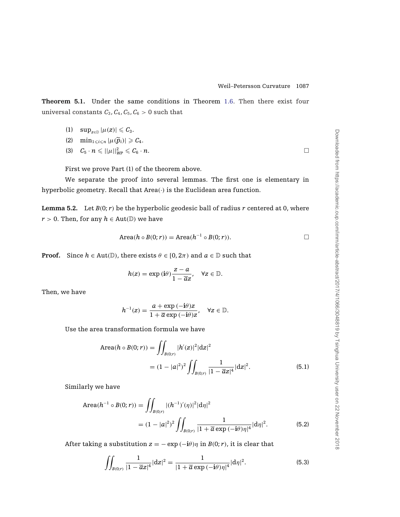<span id="page-21-0"></span>**Theorem 5.1.** Under the same conditions in Theorem [1.6.](#page-5-0) Then there exist four universal constants  $C_3$ ,  $C_4$ ,  $C_5$ ,  $C_6 > 0$  such that

(1)  $\sup_{z \in \mathbb{D}} |\mu(z)| \leqslant C_3.$ 

$$
(2) \quad \min\nolimits_{1\leqslant i\leqslant n}|\mu(\widetilde{p}_i)|\geqslant C_4.
$$

$$
(3) \quad C_5 \cdot n \leqslant ||\mu||_{WP}^2 \leqslant C_6 \cdot n. \qquad \qquad \Box
$$

First we prove Part (1) of the theorem above.

We separate the proof into several lemmas. The first one is elementary in hyperbolic geometry. Recall that Area(·) is the Euclidean area function.

**Lemma 5.2.** Let  $B(0; r)$  be the hyperbolic geodesic ball of radius  $r$  centered at 0, where *r* > 0. Then, for any  $h \in Aut(\mathbb{D})$  we have

$$
Area(h \circ B(0; r)) = Area(h^{-1} \circ B(0; r)).
$$

**Proof.** Since  $h \in Aut(\mathbb{D})$ , there exists  $\theta \in [0, 2\pi)$  and  $a \in \mathbb{D}$  such that

$$
h(z) = \exp(i\theta) \frac{z - a}{1 - \overline{a}z}, \quad \forall z \in \mathbb{D}.
$$

Then, we have

$$
h^{-1}(z)=\frac{a+\exp{(-\textbf{i}\theta)}z}{1+\overline{a}\exp{(-\textbf{i}\theta)}z},\quad \forall z\in\mathbb{D}.
$$

Use the area transformation formula we have

Area
$$
(h \circ B(0; r)) = \iint_{B(0; r)} |h'(z)|^2 |dz|^2
$$
  
=  $(1 - |a|^2)^2 \iint_{B(0; r)} \frac{1}{|1 - \overline{a}z|^4} |dz|^2$ . (5.1)

Similarly we have

Area
$$
(h^{-1} \circ B(0; r)) = \iint_{B(0; r)} |(h^{-1})'( \eta)|^2 |d\eta|^2
$$
  
=  $(1 - |a|^2)^2 \iint_{B(0; r)} \frac{1}{|1 + \overline{a} \exp(-i\theta) \eta|^4} |d\eta|^2$ . (5.2)

After taking a substitution  $z = -\exp(-i\theta)\eta$  in  $B(0; r)$ , it is clear that

$$
\iint_{B(0;r)} \frac{1}{|1 - \overline{a}z|^4} |dz|^2 = \frac{1}{|1 + \overline{a} \exp(-i\theta)\eta|^4} |d\eta|^2.
$$
 (5.3)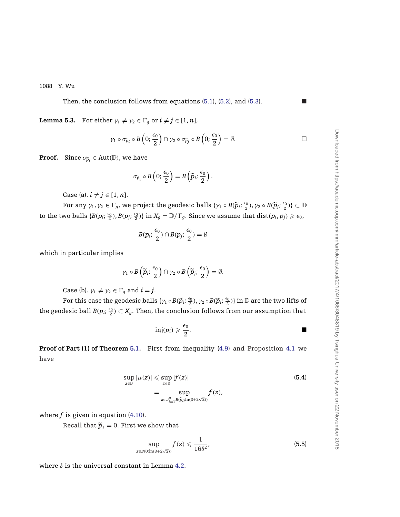Then, the conclusion follows from equations [\(5.1\)](#page-21-0), [\(5.2\)](#page-21-0), and [\(5.3\)](#page-21-0).

<span id="page-22-0"></span>**Lemma 5.3.** For either  $\gamma_1 \neq \gamma_2 \in \Gamma_g$  or  $i \neq j \in [1, n]$ ,

$$
\gamma_1 \circ \sigma_{\widetilde{p}_i} \circ B\left(0; \frac{\epsilon_0}{2}\right) \cap \gamma_2 \circ \sigma_{\widetilde{p}_j} \circ B\left(0; \frac{\epsilon_0}{2}\right) = \emptyset.
$$

**Proof.** Since  $\sigma_{\widetilde{p}_i} \in \text{Aut}(\mathbb{D})$ , we have

$$
\sigma_{\widetilde{p}_i} \circ B\left(0; \frac{\epsilon_0}{2}\right) = B\left(\widetilde{p}_i; \frac{\epsilon_0}{2}\right).
$$

Case (a).  $i \neq j \in [1, n]$ .

For any  $\gamma_1, \gamma_2 \in \Gamma_g$ , we project the geodesic balls  $\{\gamma_1 \circ B(\widetilde{p}_i; \frac{\epsilon_0}{2}), \gamma_2 \circ B(\widetilde{p}_j; \frac{\epsilon_0}{2})\} \subset \mathbb{D}$ to the two balls  $\{B(p_i;\frac{\epsilon_0}{2}), B(p_j;\frac{\epsilon_0}{2})\}$  in  $X_g = \mathbb{D}/\Gamma_g.$  Since we assume that  $\mathrm{dist}(p_i,p_j) \geqslant \epsilon_0,$ 

$$
B(p_i;\frac{\epsilon_0}{2})\cap B(p_j;\frac{\epsilon_0}{2})=\emptyset
$$

which in particular implies

$$
\gamma_1 \circ B\left(\widetilde{p}_i; \frac{\epsilon_0}{2}\right) \cap \gamma_2 \circ B\left(\widetilde{p}_j; \frac{\epsilon_0}{2}\right) = \emptyset.
$$

Case (b).  $\gamma_1 \neq \gamma_2 \in \Gamma_g$  and  $i = j$ .

For this case the geodesic balls  $\{\gamma_1 \circ B(\widetilde{p}_i; \frac{\epsilon_0}{2}), \gamma_2 \circ B(\widetilde{p}_i; \frac{\epsilon_0}{2})\}$  in  $\mathbb D$  are the two lifts of the geodesic ball  $B(p_i; \frac{\epsilon_0}{2}) \subset X_g$ . Then, the conclusion follows from our assumption that

$$
\operatorname{inj}(p_i) \geqslant \frac{\epsilon_0}{2}.
$$

**Proof of Part (1) of Theorem [5.1.](#page-20-0)** First from inequality [\(4.9\)](#page-16-0) and Proposition [4.1](#page-16-0) we have

$$
\sup_{z \in \mathbb{D}} |\mu(z)| \leq \sup_{z \in \mathbb{D}} |f(z)|
$$
\n
$$
= \sup_{z \in \cup_{i=1}^n B(\widetilde{p}_i; \ln(3+2\sqrt{2}))} f(z),
$$
\n(5.4)

where  $f$  is given in equation  $(4.10)$ .

Recall that  $\widetilde{p}_1 = 0$ . First we show that

$$
\sup_{z\in B(0;\ln(3+2\sqrt{2}))}f(z)\leqslant\frac{1}{16\delta^2},\qquad \qquad (5.5)
$$

where  $\delta$  is the universal constant in Lemma [4.2.](#page-18-0)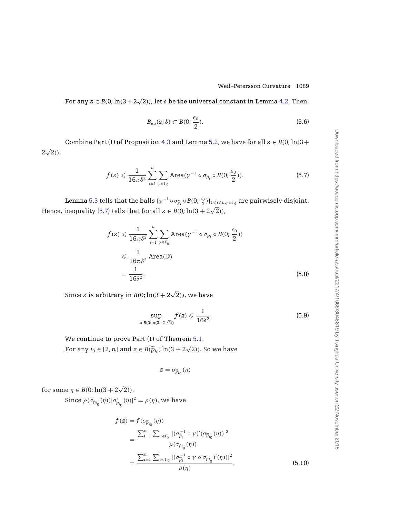For any  $z\in B(0; \ln(3+2\sqrt{2}))$ , let  $\delta$  be the universal constant in Lemma [4.2.](#page-18-0) Then,

$$
B_{eu}(z; \delta) \subset B(0; \frac{\epsilon_0}{2}).
$$
\n
$$
(5.6)
$$

Combine Part (1) of Proposition [4.3](#page-18-0) and Lemma [5.2,](#page-21-0) we have for all  $z \in B(0; \ln(3 +$  $2\sqrt{2}$ )),

$$
f(z) \leqslant \frac{1}{16\pi\delta^2} \sum_{i=1}^n \sum_{\gamma \in \Gamma_g} \text{Area}(\gamma^{-1} \circ \sigma_{\widetilde{p}_i} \circ B(0; \frac{\epsilon_0}{2})). \tag{5.7}
$$

Lemma [5.3](#page-22-0) tells that the balls  $\{\gamma^{-1} \circ \sigma_{\widetilde{p}_i} \circ B(0;\frac{\epsilon_0}{2})\}_{1\leqslant i\leqslant n,\gamma \in \Gamma_g}$  are pairwisely disjoint. Hence, inequality [\(5.7\)](#page-22-0) tells that for all  $z \in B(0; \ln(3 + 2\sqrt{2}))$ ,

$$
f(z) \leq \frac{1}{16\pi\delta^2} \sum_{i=1}^n \sum_{\gamma \in \Gamma_g} \text{Area}(\gamma^{-1} \circ \sigma_{\widetilde{p}_i} \circ B(0; \frac{\epsilon_0}{2}))
$$
  

$$
\leq \frac{1}{16\pi\delta^2} \text{Area}(\mathbb{D})
$$
  

$$
= \frac{1}{16\delta^2}.
$$
 (5.8)

Since *z* is arbitrary in  $B(0; \ln(3 + 2\sqrt{2}))$  , we have

$$
\sup_{z\in B(0;\ln(3+2\sqrt{2}))}f(z)\leqslant \frac{1}{16\delta^2}.\tag{5.9}
$$

We continue to prove Part (1) of Theorem [5.1.](#page-20-0) For any  $i_0 \in [2, n]$  and  $z \in B(\tilde{p}_{i_0}; \ln(3 + 2\sqrt{2}))$ . So we have

$$
z=\sigma_{\widetilde{p}_{i_0}}(\eta)
$$

for some  $\eta \in B(0; \ln(3 + 2\sqrt{2})).$ 

Since  $\rho(\sigma_{\widetilde{p}_{i_0}}(\eta))|\sigma'_{\widetilde{p}_{i_0}}(\eta)|^2 = \rho(\eta)$ , we have

$$
f(z) = f(\sigma_{\widetilde{p}_{i_0}}(\eta))
$$
  
= 
$$
\frac{\sum_{i=1}^n \sum_{\gamma \in \Gamma_g} |(\sigma_{\widetilde{p}_i}^{-1} \circ \gamma)'(\sigma_{\widetilde{p}_{i_0}}(\eta))|^2}{\rho(\sigma_{\widetilde{p}_{i_0}}(\eta))}
$$
  
= 
$$
\frac{\sum_{i=1}^n \sum_{\gamma \in \Gamma_g} |(\sigma_{\widetilde{p}_i}^{-1} \circ \gamma \circ \sigma_{\widetilde{p}_{i_0}})'(\eta)|^2}{\rho(\eta)}.
$$
(5.10)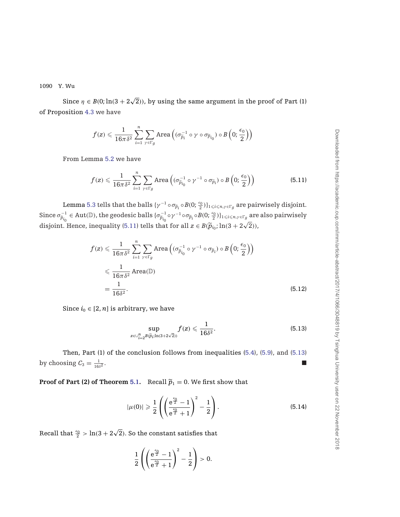Since  $\eta \in B(0; \ln(3+2\sqrt{2}))$ , by using the same argument in the proof of Part (1) of Proposition [4.3](#page-18-0) we have

$$
f(\boldsymbol{z}) \leqslant \frac{1}{16\pi\delta^2} \sum_{i=1}^n \sum_{\gamma \in \Gamma_{\boldsymbol{g}}} \text{Area}\left( (\sigma_{\widetilde{p}_i}^{-1} \circ \gamma \circ \sigma_{\widetilde{p}_{i_0}}) \circ B\left(0;\frac{\epsilon_0}{2}\right) \right)
$$

From Lemma [5.2](#page-21-0) we have

$$
f(z) \leqslant \frac{1}{16\pi\delta^2} \sum_{i=1}^n \sum_{\gamma \in \Gamma_g} \text{Area}\left( (\sigma_{\widetilde{p}_{i_0}}^{-1} \circ \gamma^{-1} \circ \sigma_{\widetilde{p}_i}) \circ B\left(0; \frac{\epsilon_0}{2}\right) \right) \tag{5.11}
$$

Lemma [5.3](#page-22-0) tells that the balls  $\{\gamma^{-1} \circ \sigma_{\widetilde{p}_i} \circ B(0;\frac{\epsilon_0}{2})\}_{1\leqslant i\leqslant n,\gamma \in \Gamma g}$  are pairwisely disjoint.  $\text{Since } \sigma_{\widetilde{p}_{i_0}}^{-1} \in \text{Aut}(\mathbb{D}), \text{ the geodesic balls } \{\sigma_{\widetilde{p}_{i_0}}^{-1} \circ \gamma^{-1} \circ \sigma_{\widetilde{p}_i} \circ B(0; \frac{\epsilon_0}{2})\}_{1 \leqslant i \leqslant n, \gamma \in \Gamma_g} \text{ are also pairwisely}$ disjoint. Hence, inequality [\(5.11\)](#page-22-0) tells that for all  $z \in B(\tilde{p}_{i_0}; \ln(3 + 2\sqrt{2}))$ ,

$$
f(z) \leq \frac{1}{16\pi\delta^2} \sum_{i=1}^n \sum_{\gamma \in \Gamma_g} \text{Area}\left( (\sigma_{\widetilde{p}_{i_0}}^{-1} \circ \gamma^{-1} \circ \sigma_{\widetilde{p}_i}) \circ B\left(0; \frac{\epsilon_0}{2}\right) \right)
$$
  
\$\leqslant \frac{1}{16\pi\delta^2} \text{Area}(\mathbb{D})\$  

$$
= \frac{1}{16\delta^2}.
$$
 (5.12)

Since  $i_0 \in [2, n]$  is arbitrary, we have

$$
\sup_{z\in\cup_{i=2}^n B(\widetilde{p}_i;\ln(3+2\sqrt{2}))} f(z) \leqslant \frac{1}{16\delta^2}.
$$
\n(5.13)

Then, Part (1) of the conclusion follows from inequalities [\(5.4\)](#page-22-0), [\(5.9\)](#page-22-0), and [\(5.13\)](#page-22-0) by choosing  $C_3 = \frac{1}{16\delta^2}$ .  $\frac{1}{16\delta^2}$ .

**Proof of Part (2) of Theorem [5.1.](#page-20-0)** Recall  $\tilde{p}_1 = 0$ . We first show that

$$
|\mu(0)| \geqslant \frac{1}{2} \left( \left( \frac{e^{\frac{\epsilon_0}{2}} - 1}{e^{\frac{\epsilon_0}{2}} + 1} \right)^2 - \frac{1}{2} \right). \tag{5.14}
$$

Recall that  $\frac{\epsilon_0}{2} > \ln(3 + 2\sqrt{2})$ . So the constant satisfies that

$$
\frac{1}{2}\left(\left(\frac{e^{\frac{\varepsilon_0}{2}}-1}{e^{\frac{\varepsilon_0}{2}}+1}\right)^2-\frac{1}{2}\right)>0.
$$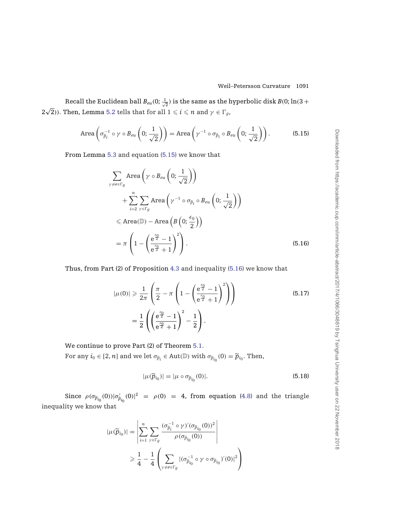Recall the Euclidean ball  $B_{eu}(0;\frac{1}{\sqrt{2}})$  is the same as the hyperbolic disk  $B(0;\ln(3+$ 2 $\sqrt{2}$ )). Then, Lemma [5.2](#page-21-0) tells that for all  $1 \le i \le n$  and  $\gamma \in \Gamma_g$ ,

Area 
$$
\left(\sigma_{\widetilde{p}_i}^{-1} \circ \gamma \circ B_{eu}\left(0; \frac{1}{\sqrt{2}}\right)\right)
$$
 = Area  $\left(\gamma^{-1} \circ \sigma_{\widetilde{p}_i} \circ B_{eu}\left(0; \frac{1}{\sqrt{2}}\right)\right)$ . (5.15)

From Lemma [5.3](#page-22-0) and equation [\(5.15\)](#page-22-0) we know that

$$
\sum_{\gamma \neq e \in \Gamma_g} \text{Area}\left(\gamma \circ B_{eu}\left(0; \frac{1}{\sqrt{2}}\right)\right)
$$
\n
$$
+ \sum_{i=2}^{n} \sum_{\gamma \in \Gamma_g} \text{Area}\left(\gamma^{-1} \circ \sigma_{\widetilde{p}_i} \circ B_{eu}\left(0; \frac{1}{\sqrt{2}}\right)\right)
$$
\n
$$
\leq \text{Area}(\mathbb{D}) - \text{Area}\left(B\left(0; \frac{\epsilon_0}{2}\right)\right)
$$
\n
$$
= \pi \left(1 - \left(\frac{e^{\frac{\epsilon_0}{2}} - 1}{e^{\frac{\epsilon_0}{2}} + 1}\right)^2\right).
$$
\n(5.16)

Thus, from Part (2) of Proposition [4.3](#page-18-0) and inequality [\(5.16\)](#page-22-0) we know that

$$
|\mu(0)| \geqslant \frac{1}{2\pi} \left( \frac{\pi}{2} - \pi \left( 1 - \left( \frac{e^{\frac{\epsilon_0}{2}} - 1}{e^{\frac{\epsilon_0}{2}} + 1} \right)^2 \right) \right)
$$
\n
$$
= \frac{1}{2} \left( \left( \frac{e^{\frac{\epsilon_0}{2}} - 1}{e^{\frac{\epsilon_0}{2}} + 1} \right)^2 - \frac{1}{2} \right).
$$
\n(5.17)

We continue to prove Part (2) of Theorem [5.1.](#page-20-0)

For any  $i_0 \in [2, n]$  and we let  $\sigma_{\widetilde{p}_i} \in \text{Aut}(\mathbb{D})$  with  $\sigma_{\widetilde{p}_{i_0}}(0) = \widetilde{p}_{i_0}$ . Then,

$$
|\mu(\widetilde{p}_{i_0})| = |\mu \circ \sigma_{\widetilde{p}_{i_0}}(0)|. \tag{5.18}
$$

Since  $\rho(\sigma_{\tilde{p}_{i_0}}(0))|\sigma'_{\tilde{p}_{i_0}}(0)|^2 = \rho(0) = 4$ , from equation [\(4.8\)](#page-16-0) and the triangle inequality we know that

$$
|\mu(\widetilde{p}_{i_0})| = \left| \sum_{i=1}^n \sum_{\gamma \in \Gamma_g} \frac{(\sigma_{\widetilde{p}_i}^{-1} \circ \gamma)'(\sigma_{\widetilde{p}_{i_0}}(0))^2}{\rho(\sigma_{\widetilde{p}_{i_0}}(0))} \right|
$$
  

$$
\geq \frac{1}{4} - \frac{1}{4} \left( \sum_{\gamma \neq e \in \Gamma_g} |(\sigma_{\widetilde{p}_{i_0}}^{-1} \circ \gamma \circ \sigma_{\widetilde{p}_{i_0}})'(0)|^2 \right)
$$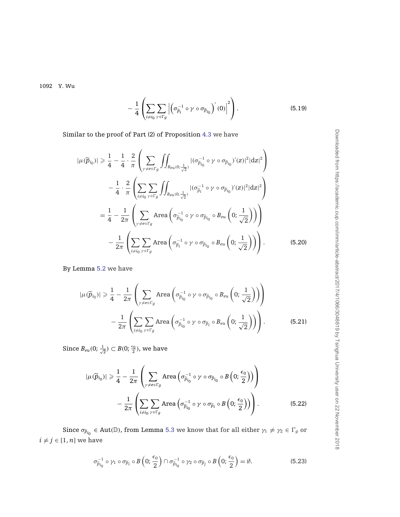$$
-\frac{1}{4}\left(\sum_{i\neq i_0}\sum_{\gamma\in\Gamma_g}\left|\left(\sigma_{\widetilde{p}_i}^{-1}\circ\gamma\circ\sigma_{\widetilde{p}_{i_0}}\right)'(0)\right|^2\right).
$$
\n(5.19)

<span id="page-26-0"></span>Similar to the proof of Part (2) of Proposition [4.3](#page-18-0) we have

$$
|\mu(\widetilde{p}_{i_0})| \geq \frac{1}{4} - \frac{1}{4} \cdot \frac{2}{\pi} \left( \sum_{\gamma \neq e \in \Gamma_g} \iint_{B_{eu(0;\frac{1}{\sqrt{2}})}} |(\sigma_{\widetilde{p}_{i_0}}^{-1} \circ \gamma \circ \sigma_{\widetilde{p}_{i_0}})'(z)|^2 |dz|^2 \right)
$$
  

$$
- \frac{1}{4} \cdot \frac{2}{\pi} \left( \sum_{i \neq i_0} \sum_{\gamma \in \Gamma_g} \iint_{B_{eu(0;\frac{1}{\sqrt{2}})}} |(\sigma_{\widetilde{p}_i}^{-1} \circ \gamma \circ \sigma_{\widetilde{p}_{i_0}})'(z)|^2 |dz|^2 \right)
$$
  

$$
= \frac{1}{4} - \frac{1}{2\pi} \left( \sum_{\gamma \neq e \in \Gamma_g} \text{Area} \left( \sigma_{\widetilde{p}_{i_0}}^{-1} \circ \gamma \circ \sigma_{\widetilde{p}_{i_0}} \circ B_{eu} \left( 0; \frac{1}{\sqrt{2}} \right) \right) \right)
$$
  

$$
- \frac{1}{2\pi} \left( \sum_{i \neq i_0} \sum_{\gamma \in \Gamma_g} \text{Area} \left( \sigma_{\widetilde{p}_i}^{-1} \circ \gamma \circ \sigma_{\widetilde{p}_{i_0}} \circ B_{eu} \left( 0; \frac{1}{\sqrt{2}} \right) \right) \right).
$$
 (5.20)

By Lemma [5.2](#page-21-0) we have

$$
|\mu(\widetilde{p}_{i_0})| \geq \frac{1}{4} - \frac{1}{2\pi} \left( \sum_{\gamma \neq e \in \Gamma_g} \text{Area} \left( \sigma_{\widetilde{p}_{i_0}}^{-1} \circ \gamma \circ \sigma_{\widetilde{p}_{i_0}} \circ B_{eu} \left( 0; \frac{1}{\sqrt{2}} \right) \right) \right) - \frac{1}{2\pi} \left( \sum_{i \neq i_0} \sum_{\gamma \in \Gamma_g} \text{Area} \left( \sigma_{\widetilde{p}_{i_0}}^{-1} \circ \gamma \circ \sigma_{\widetilde{p}_i} \circ B_{eu} \left( 0; \frac{1}{\sqrt{2}} \right) \right) \right).
$$
 (5.21)

Since  $B_{eu}(0;\frac{1}{\sqrt{2}}) \subset B(0;\frac{\epsilon_0}{2})$ , we have

$$
|\mu(\widetilde{p}_{i_0})| \geq \frac{1}{4} - \frac{1}{2\pi} \left( \sum_{\gamma \neq e \in \Gamma_g} \text{Area} \left( \sigma_{\widetilde{p}_{i_0}}^{-1} \circ \gamma \circ \sigma_{\widetilde{p}_{i_0}} \circ B \left( 0; \frac{\epsilon_0}{2} \right) \right) \right) - \frac{1}{2\pi} \left( \sum_{i \neq i_0} \sum_{\gamma \in \Gamma_g} \text{Area} \left( \sigma_{\widetilde{p}_{i_0}}^{-1} \circ \gamma \circ \sigma_{\widetilde{p}_i} \circ B \left( 0; \frac{\epsilon_0}{2} \right) \right) \right).
$$
 (5.22)

Since  $\sigma_{\widetilde{p}_{i_0}} \in \text{Aut}(\mathbb{D})$ , from Lemma [5.3](#page-22-0) we know that for all either  $\gamma_1 \neq \gamma_2 \in \Gamma_g$  or  $i \neq j \in [1, n]$  we have

$$
\sigma_{\widetilde{p}_{i_0}}^{-1} \circ \gamma_1 \circ \sigma_{\widetilde{p}_i} \circ B\left(0; \frac{\epsilon_0}{2}\right) \cap \sigma_{\widetilde{p}_{i_0}}^{-1} \circ \gamma_2 \circ \sigma_{\widetilde{p}_j} \circ B\left(0; \frac{\epsilon_0}{2}\right) = \emptyset. \tag{5.23}
$$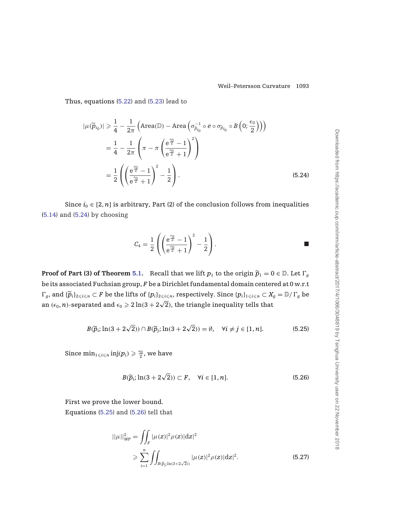<span id="page-27-0"></span>Thus, equations [\(5.22\)](#page-22-0) and [\(5.23\)](#page-26-0) lead to

$$
|\mu(\widetilde{p}_{i_0})| \geq \frac{1}{4} - \frac{1}{2\pi} \left( \text{Area}(\mathbb{D}) - \text{Area} \left( \sigma_{\widetilde{p}_{i_0}}^{-1} \circ e \circ \sigma_{\widetilde{p}_{i_0}} \circ B \left( 0; \frac{\epsilon_0}{2} \right) \right) \right)
$$
  

$$
= \frac{1}{4} - \frac{1}{2\pi} \left( \pi - \pi \left( \frac{e^{\frac{\epsilon_0}{2}} - 1}{e^{\frac{\epsilon_0}{2}} + 1} \right)^2 \right)
$$
  

$$
= \frac{1}{2} \left( \left( \frac{e^{\frac{\epsilon_0}{2}} - 1}{e^{\frac{\epsilon_0}{2}} + 1} \right)^2 - \frac{1}{2} \right).
$$
 (5.24)

Since  $i_0 \in [2, n]$  is arbitrary, Part (2) of the conclusion follows from inequalities [\(5.14\)](#page-22-0) and [\(5.24\)](#page-26-0) by choosing

$$
C_4 = \frac{1}{2}\left( \left(\frac{e^{\frac{\epsilon_0}{2}}-1}{e^{\frac{\epsilon_0}{2}}+1}\right)^2 - \frac{1}{2}\right).
$$

**Proof of Part (3) of Theorem [5.1.](#page-20-0)** Recall that we lift  $p_1$  to the origin  $\widetilde{p}_1 = 0 \in \mathbb{D}$ . Let  $\Gamma_q$ be its associated Fuchsian group, *F* be a Dirichlet fundamental domain centered at 0 w.r.t  $\Gamma_g$ , and  $\{\widetilde{p}_i\}_{2\leqslant i\leqslant n}\subset F$  be the lifts of  $\{p_i\}_{2\leqslant i\leqslant n}$ , respectively. Since  $\{p_i\}_{1\leqslant i\leqslant n}\subset X_g=\mathbb{D}/\Gamma_g$  be an  $(e_0, n)$ -separated and  $\epsilon_0 \ge 2 \ln(3 + 2\sqrt{2})$ , the triangle inequality tells that

$$
B(\widetilde{p}_i; \ln(3 + 2\sqrt{2})) \cap B(\widetilde{p}_j; \ln(3 + 2\sqrt{2})) = \emptyset, \quad \forall i \neq j \in [1, n].
$$
 (5.25)

Since  $\min_{1\leqslant i\leqslant n} \mathrm{inj}(p_i) \geqslant \frac{\epsilon_0}{2}$ , we have

$$
B(\widetilde{p}_i; \ln(3 + 2\sqrt{2})) \subset F, \quad \forall i \in [1, n]. \tag{5.26}
$$

First we prove the lower bound.

Equations (5.25) and (5.26) tell that

$$
||\mu||_{WP}^{2} = \iint_{F} |\mu(z)|^{2} \rho(z)|dz|^{2}
$$
  
\n
$$
\geq \sum_{i=1}^{n} \iint_{B(\widetilde{p}_{i}:\ln(3+2\sqrt{2}))} |\mu(z)|^{2} \rho(z)|dz|^{2}.
$$
 (5.27)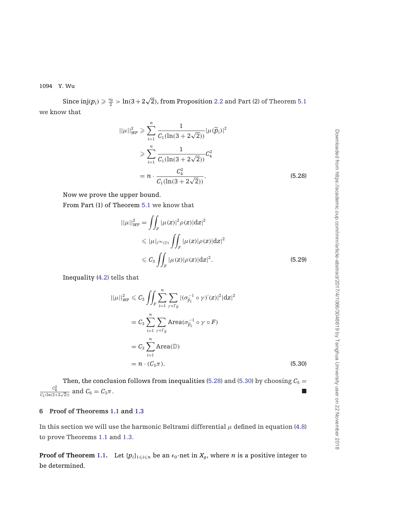<span id="page-28-0"></span>Since  $\mathrm{inj}(p_i) \geqslant \frac{\epsilon_0}{2} > \ln(3+2\sqrt{2})$ , from Proposition [2.2](#page-8-0) and Part (2) of Theorem [5.1](#page-20-0) we know that

$$
||\mu||_{WP}^2 \ge \sum_{i=1}^n \frac{1}{C_1(\ln(3 + 2\sqrt{2}))} |\mu(\widetilde{p}_i)|^2
$$
  
\n
$$
\ge \sum_{i=1}^n \frac{1}{C_1(\ln(3 + 2\sqrt{2}))} C_4^2
$$
  
\n
$$
= n \cdot \frac{C_4^2}{C_1(\ln(3 + 2\sqrt{2}))}.
$$
\n(5.28)

Now we prove the upper bound.

From Part (1) of Theorem [5.1](#page-20-0) we know that

$$
||\mu||_{WP}^2 = \iint_F |\mu(z)|^2 \rho(z)|dz|^2
$$
  
\n
$$
\leq |\mu|_{\ell^{\infty}(\mathbb{D})} \iint_F |\mu(z)| \rho(z)|dz|^2
$$
  
\n
$$
\leq C_3 \iint_F |\mu(z)| \rho(z)|dz|^2.
$$
\n(5.29)

Inequality [\(4.2\)](#page-15-0) tells that

$$
||\mu||_{WP}^2 \leq C_3 \iint_F \sum_{i=1}^n \sum_{\gamma \in \Gamma_g} |(\sigma_{\widetilde{p}_i}^{-1} \circ \gamma)'(z)|^2 |dz|^2
$$
  
=  $C_3 \sum_{i=1}^n \sum_{\gamma \in \Gamma_g} \text{Area}(\sigma_{\widetilde{p}_i}^{-1} \circ \gamma \circ F)$   
=  $C_3 \sum_{i=1}^n \text{Area}(\mathbb{D})$   
=  $n \cdot (C_3 \pi).$  (5.30)

Then, the conclusion follows from inequalities [\(5.28\)](#page-27-0) and [\(5.30\)](#page-27-0) by choosing  $C_5 =$  $\frac{c_4^2}{c_1(\ln(3+2\sqrt{2}))}$  and  $C_6 = C_3\pi$ .

## **6 Proof of Theorems [1.1](#page-1-0) and [1.3](#page-2-0)**

In this section we will use the harmonic Beltrami differential  $\mu$  defined in equation [\(4.8\)](#page-16-0) to prove Theorems [1.1](#page-1-0) and [1.3.](#page-2-0)

**Proof of Theorem [1.1.](#page-1-0)** Let  $\{p_i\}_{1\leqslant i\leqslant n}$  be an  $\epsilon_0$ -net in  $X_g$ , where  $n$  is a positive integer to be determined.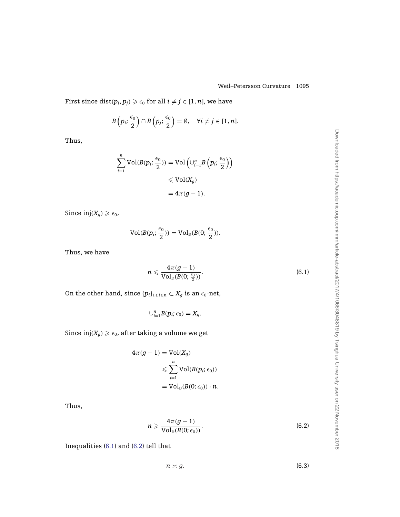First since  $\mathop\mathrm{dist}(p_i, p_j) \geqslant \epsilon_0$  for all  $i \neq j \in [1, n]$ , we have

$$
B\left(p_i;\frac{\epsilon_0}{2}\right)\cap B\left(p_j;\frac{\epsilon_0}{2}\right)=\emptyset, \quad \forall i\neq j\in[1,n].
$$

Thus,

$$
\sum_{i=1}^{n} \text{Vol}(B(p_i; \frac{\epsilon_0}{2})) = \text{Vol}\left(\cup_{i=1}^{n} B\left(p_i; \frac{\epsilon_0}{2}\right)\right)
$$
  
\$\leqslant \text{Vol}(X\_g)\$  

$$
= 4\pi (g - 1).
$$

Since  $\text{inj}(X_q) \geq \epsilon_0$ ,

$$
Vol(B(p_i; \frac{\epsilon_0}{2})) = Vol_{\mathbb{D}}(B(0; \frac{\epsilon_0}{2})).
$$

Thus, we have

$$
n \leqslant \frac{4\pi (g-1)}{\mathop{\rm Vol}\nolimits_{\mathbb{D}}(B(0;\tfrac{\epsilon_0}{2}))}.
$$

On the other hand, since  $\{p_i\}_{1\leq i\leq n}\subset X_g$  is an  $\epsilon_0$ -net,

$$
\cup_{i=1}^n B(p_i;\epsilon_0)=X_g.
$$

Since  $\mathrm{inj}(X_g) \geq \epsilon_0$ , after taking a volume we get

$$
4\pi (g - 1) = Vol(X_g)
$$
  

$$
\leqslant \sum_{i=1}^{n} Vol(B(p_i; \epsilon_0))
$$
  

$$
= Vol_{\mathbb{D}}(B(0; \epsilon_0)) \cdot n.
$$

Thus,

$$
n \geqslant \frac{4\pi (g-1)}{\mathrm{Vol}_{\mathbb{D}}(B(0;\epsilon_0))}.
$$
\n(6.2)

 $n \asymp g$ . (6.3)

Inequalities [\(6.1\)](#page-28-0) and [\(6.2\)](#page-28-0) tell that

Downloaded from https://academic.oup.com/imrn/article-abstract/2017/4/1066/3048819 by Tsinghua University user on 22 November 2018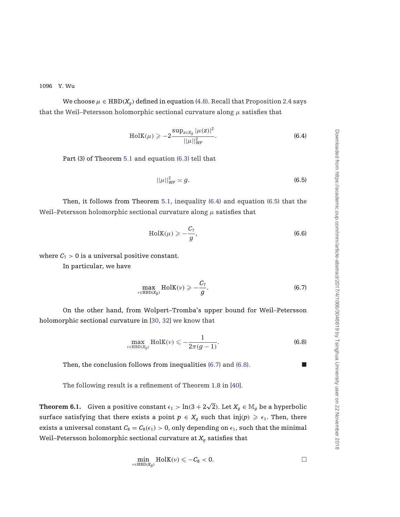<span id="page-30-0"></span>We choose  $\mu \in \text{HBD}(X_q)$  defined in equation [\(4.8\)](#page-16-0). Recall that Proposition [2.4](#page-9-0) says that the Weil–Petersson holomorphic sectional curvature along  $\mu$  satisfies that

$$
HolK(\mu) \geqslant -2 \frac{\sup_{z \in X_g} |\mu(z)|^2}{||\mu||_{WP}^2}.
$$
\n(6.4)

Part (3) of Theorem [5.1](#page-20-0) and equation [\(6.3\)](#page-28-0) tell that

$$
||\mu||_{WP}^2 \asymp g. \tag{6.5}
$$

Then, it follows from Theorem [5.1,](#page-20-0) inequality  $(6.4)$  and equation  $(6.5)$  that the Weil–Petersson holomorphic sectional curvature along  $\mu$  satisfies that

$$
\text{HolK}(\mu) \geqslant -\frac{C_7}{g},\tag{6.6}
$$

where  $C_7 > 0$  is a universal positive constant.

In particular, we have

$$
\max_{v \in \text{HBD}(X_g)} \text{HolK}(v) \geqslant -\frac{C_7}{g}.\tag{6.7}
$$

On the other hand, from Wolpert–Tromba's upper bound for Weil–Petersson holomorphic sectional curvature in [\[30,](#page-35-0) [32\]](#page-35-0) we know that

$$
\max_{\nu \in \text{HBD}(X_g)} \text{HolK}(\nu) \leqslant -\frac{1}{2\pi(g-1)}.\tag{6.8}
$$

Then, the conclusion follows from inequalities  $(6.7)$  and  $(6.8)$ .

The following result is a refinement of Theorem 1.8 in [\[40](#page-36-0)].

**Theorem 6.1.** Given a positive constant  $\epsilon_1 > \ln(3 + 2\sqrt{2})$ . Let  $X_g \in \mathbb{M}_g$  be a hyperbolic surface satisfying that there exists a point  $p \in X_g$  such that inj $(p) \geq \epsilon_1$ . Then, there exists a universal constant  $C_8 = C_8(\epsilon_1) > 0$ , only depending on  $\epsilon_1$ , such that the minimal Weil–Petersson holomorphic sectional curvature at  $X_g$  satisfies that

$$
\min_{\nu \in \text{HBD}(X_g)} \text{HolK}(\nu) \leqslant -C_8 < 0. \qquad \qquad \square
$$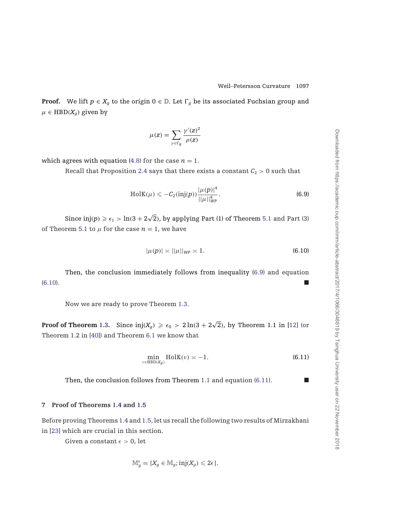<span id="page-31-0"></span>**Proof.** We lift  $p \in X_q$  to the origin  $0 \in \mathbb{D}$ . Let  $\Gamma_q$  be its associated Fuchsian group and  $\mu \in \text{HBD}(X_q)$  given by

$$
\mu(z) = \sum_{\gamma \in \Gamma_g} \frac{\gamma'(z)^2}{\rho(z)}
$$

which agrees with equation  $(4.8)$  for the case  $n = 1$ .

Recall that Proposition [2.4](#page-9-0) says that there exists a constant  $C_2 > 0$  such that

$$
HolK(\mu) \leqslant -C_2(\text{inj}(p)) \frac{|\mu(p)|^4}{||\mu||_{WP}^4}.
$$
\n(6.9)

Since  $\mathrm{inj}(p)\geqslant\epsilon_1>\mathrm{ln}(3+2\sqrt{2}),$  by applying Part (1) of Theorem [5.1](#page-20-0) and Part (3) of Theorem [5.1](#page-20-0) to  $\mu$  for the case  $n = 1$ , we have

$$
|\mu(p)| \asymp ||\mu||_{WP} \asymp 1. \tag{6.10}
$$

Then, the conclusion immediately follows from inequality [\(6.9\)](#page-30-0) and equation [\(6.10\)](#page-30-0).

Now we are ready to prove Theorem [1.3.](#page-2-0)

**Proof of Theorem** [1.3.](#page-2-0) Since  $\mathrm{inj}(X_g) \geqslant \epsilon_0 > 2\ln(3 + 2\sqrt{2})$ , by Theorem 1.1 in [\[12\]](#page-34-0) (or Theorem 1.2 in [\[40\]](#page-36-0)) and Theorem [6.1](#page-30-0) we know that

$$
\min_{\nu \in \text{HBD}(X_g)} \text{HolK}(\nu) \asymp -1. \tag{6.11}
$$

Then, the conclusion follows from Theorem [1.1](#page-1-0) and equation [\(6.11\)](#page-30-0).

# **7 Proof of Theorems [1.4](#page-3-0) and [1.5](#page-4-0)**

Before proving Theorems [1.4](#page-3-0) and [1.5,](#page-4-0) let us recall the following two results of Mirzakhani in [\[23\]](#page-35-0) which are crucial in this section.

Given a constant  $\epsilon > 0$ , let

$$
\mathbb{M}_g^{\epsilon} = \{X_g \in \mathbb{M}_g; \text{inj}(X_g) \leqslant 2\epsilon\}.
$$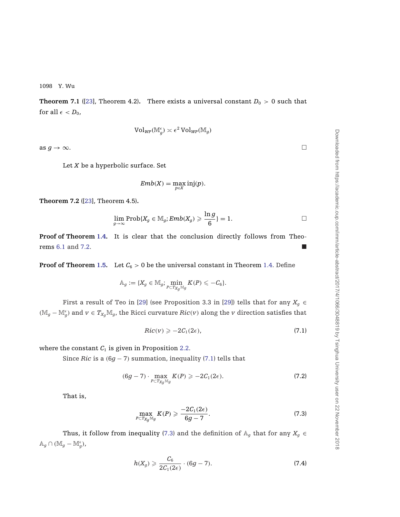<span id="page-32-0"></span>**Theorem 7.1** ([\[23](#page-35-0)], Theorem 4.2). There exists a universal constant  $D_0 > 0$  such that for all  $\epsilon < D_0$ ,

$$
\text{Vol}_{\textit{WP}}(\mathbb{M}_g^{\epsilon})\asymp \epsilon^2\, \text{Vol}_{\textit{WP}}(\mathbb{M}_g)
$$

as  $g \to \infty$ .

Let *X* be a hyperbolic surface. Set

$$
Emb(X)=\max_{p\in X}\mathrm{inj}(p).
$$

**Theorem 7.2** ([\[23\]](#page-35-0), Theorem 4.5)**.**

$$
\lim_{g\to\infty}\operatorname{Prob}\{X_g\in\mathbb{M}_g;\operatorname{Emb}(X_g)\geqslant\frac{\ln g}{6}\}=1.\hspace{1cm}\square
$$

**Proof of Theorem [1.4.](#page-3-0)** It is clear that the conclusion directly follows from Theorems [6.1](#page-30-0) and 7.2.

**Proof of Theorem [1.5.](#page-4-0)** Let  $C_6 > 0$  be the universal constant in Theorem [1.4.](#page-3-0) Define

$$
\mathbb{A}_g := \{X_g \in \mathbb{M}_g; \min_{P \subset T_{X_g} \mathbb{M}_g} K(P) \leqslant -C_6\}.
$$

First a result of Teo in [\[29\]](#page-35-0) (see Proposition 3.3 in [\[29](#page-35-0)]) tells that for any  $X_g \in$ ( $\mathbb{M}_g$  −  $\mathbb{M}_g^{\epsilon}$ ) and  $v \in T_{X_g}\mathbb{M}_g$ , the Ricci curvature  $Ric(v)$  along the *v* direction satisfies that

$$
Ric(v) \geq -2C_1(2\epsilon), \tag{7.1}
$$

where the constant  $C_1$  is given in Proposition [2.2.](#page-8-0)

Since *Ric* is a  $(6g - 7)$  summation, inequality (7.1) tells that

$$
(6g-7)\cdot \max_{P\subset T_{X_g}\mathbb{M}_g} K(P) \geqslant -2C_1(2\epsilon). \tag{7.2}
$$

That is,

$$
\max_{P \subset T_{X_g} \mathbb{M}_g} K(P) \geqslant \frac{-2C_1(2\epsilon)}{6g-7}.
$$
\n(7.3)

Thus, it follow from inequality (7.3) and the definition of  $\mathbb{A}_q$  that for any  $X_q \in$  $\mathbb{A}_g \cap (\mathbb{M}_g - \mathbb{M}_g^{\epsilon}),$ 

$$
h(X_g) \geqslant \frac{C_6}{2C_1(2\epsilon)} \cdot (6g - 7). \tag{7.4}
$$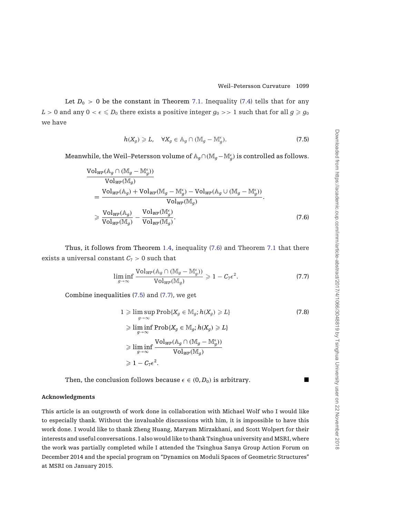Let  $D_0 > 0$  be the constant in Theorem [7.1.](#page-32-0) Inequality [\(7.4\)](#page-32-0) tells that for any  $L>0$  and any  $0<\epsilon\leqslant D_0$  there exists a positive integer  $g_0>>1$  such that for all  $g\geqslant g_0$ we have

$$
h(X_g) \geqslant L, \quad \forall X_g \in \mathbb{A}_g \cap (\mathbb{M}_g - \mathbb{M}_g^{\epsilon}). \tag{7.5}
$$

Meanwhile, the Weil–Petersson volume of A*g*∩(M*g*−M *<sup>g</sup>*) is controlled as follows.

$$
\frac{\text{Vol}_{WP}(\mathbb{A}_g \cap (\mathbb{M}_g - \mathbb{M}_g^{\epsilon}))}{\text{Vol}_{WP}(\mathbb{M}_g)}
$$
\n
$$
= \frac{\text{Vol}_{WP}(\mathbb{A}_g) + \text{Vol}_{WP}(\mathbb{M}_g - \mathbb{M}_g^{\epsilon}) - \text{Vol}_{WP}(\mathbb{A}_g \cup (\mathbb{M}_g - \mathbb{M}_g^{\epsilon}))}{\text{Vol}_{WP}(\mathbb{M}_g)}
$$
\n
$$
\geq \frac{\text{Vol}_{WP}(\mathbb{A}_g)}{\text{Vol}_{WP}(\mathbb{M}_g)} - \frac{\text{Vol}_{WP}(\mathbb{M}_g^{\epsilon})}{\text{Vol}_{WP}(\mathbb{M}_g)}.
$$
\n(7.6)

Thus, it follows from Theorem [1.4,](#page-3-0) inequality [\(7.6\)](#page-32-0) and Theorem [7.1](#page-32-0) that there exists a universal constant  $C_7 > 0$  such that

$$
\liminf_{g \to \infty} \frac{\text{Vol}_{W^p}(\mathbb{A}_g \cap (\mathbb{M}_g - \mathbb{M}_g^{\epsilon}))}{\text{Vol}_{W^p}(\mathbb{M}_g)} \geq 1 - C_7 \epsilon^2. \tag{7.7}
$$

Combine inequalities [\(7.5\)](#page-32-0) and [\(7.7\)](#page-32-0), we get

$$
1 \geqslant \limsup_{g \to \infty} \text{Prob}\{X_g \in \mathbb{M}_g; h(X_g) \geqslant L\}
$$
\n
$$
\geqslant \liminf_{g \to \infty} \text{Prob}\{X_g \in \mathbb{M}_g; h(X_g) \geqslant L\}
$$
\n
$$
\geqslant \liminf_{g \to \infty} \frac{\text{Vol}_{WP}(\mathbb{A}_g \cap (\mathbb{M}_g - \mathbb{M}_g^{\epsilon}))}{\text{Vol}_{WP}(\mathbb{M}_g)}
$$
\n
$$
\geqslant 1 - C_7 \epsilon^2.
$$
\n(7.8)

Then, the conclusion follows because  $\epsilon \in (0, D_0)$  is arbitrary.

#### **Acknowledgments**

This article is an outgrowth of work done in collaboration with Michael Wolf who I would like to especially thank. Without the invaluable discussions with him, it is impossible to have this work done. I would like to thank Zheng Huang, Maryam Mirzakhani, and Scott Wolpert for their interests and useful conversations. I also would like to thank Tsinghua university and MSRI, where the work was partially completed while I attended the Tsinghua Sanya Group Action Forum on December 2014 and the special program on "Dynamics on Moduli Spaces of Geometric Structures" at MSRI on January 2015.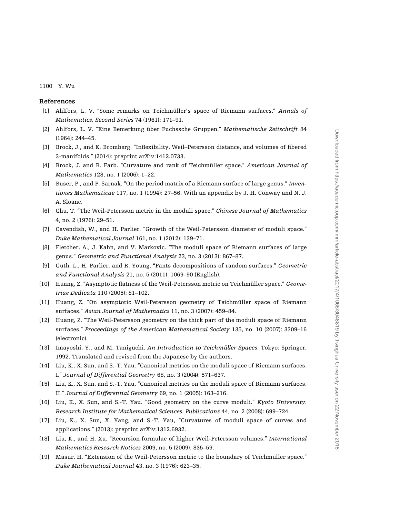#### <span id="page-34-0"></span>**References**

- [1] Ahlfors, L. V. "Some remarks on Teichmüller's space of Riemann surfaces." *Annals of Mathematics. Second Series* 74 (1961): 171–91.
- [2] Ahlfors, L. V. "Eine Bemerkung über Fuchssche Gruppen." *Mathematische Zeitschrift* 84 (1964): 244–45.
- [3] Brock, J., and K. Bromberg. "Inflexibility, Weil–Petersson distance, and volumes of fibered 3-manifolds." (2014): preprint arXiv:1412.0733.
- [4] Brock, J. and B. Farb. "Curvature and rank of Teichmüller space." *American Journal of Mathematics* 128, no. 1 (2006): 1–22.
- [5] Buser, P., and P. Sarnak. "On the period matrix of a Riemann surface of large genus." *Inventiones Mathematicae* 117, no. 1 (1994): 27–56. With an appendix by J. H. Conway and N. J. A. Sloane.
- [6] Chu, T. "The Weil-Petersson metric in the moduli space." *Chinese Journal of Mathematics* 4, no. 2 (1976): 29–51.
- [7] Cavendish, W., and H. Parlier. "Growth of the Weil-Petersson diameter of moduli space." *Duke Mathematical Journal* 161, no. 1 (2012): 139–71.
- [8] Fletcher, A., J. Kahn, and V. Markovic. "The moduli space of Riemann surfaces of large genus." *Geometric and Functional Analysis* 23, no. 3 (2013): 867–87.
- [9] Guth, L., H. Parlier, and R. Young, "Pants decompositions of random surfaces." *Geometric and Functional Analysis* 21, no. 5 (2011): 1069–90 (English).
- [10] Huang, Z. "Asymptotic flatness of the Weil-Petersson metric on Teichmüller space." *Geometriae Dedicata* 110 (2005): 81–102.
- [11] Huang, Z. "On asymptotic Weil-Petersson geometry of Teichmüller space of Riemann surfaces." *Asian Journal of Mathematics* 11, no. 3 (2007): 459–84.
- [12] Huang, Z. "The Weil-Petersson geometry on the thick part of the moduli space of Riemann surfaces." *Proceedings of the American Mathematical Society* 135, no. 10 (2007): 3309–16 (electronic).
- [13] Imayoshi, Y., and M. Taniguchi. *An Introduction to Teichmüller Spaces*. Tokyo: Springer, 1992. Translated and revised from the Japanese by the authors.
- [14] Liu, K., X. Sun, and S.-T. Yau. "Canonical metrics on the moduli space of Riemann surfaces. I." *Journal of Differential Geometry* 68, no. 3 (2004): 571–637.
- [15] Liu, K., X. Sun, and S.-T. Yau. "Canonical metrics on the moduli space of Riemann surfaces. II." *Journal of Differential Geometry* 69, no. 1 (2005): 163–216.
- [16] Liu, K., X. Sun, and S.-T. Yau. "Good geometry on the curve moduli." *Kyoto University. Research Institute for Mathematical Sciences. Publications* 44, no. 2 (2008): 699–724.
- [17] Liu, K., X. Sun, X. Yang, and S.-T. Yau, "Curvatures of moduli space of curves and applications." (2013): preprint arXiv:1312.6932.
- [18] Liu, K., and H. Xu. "Recursion formulae of higher Weil-Petersson volumes." *International Mathematics Research Notices* 2009, no. 5 (2009): 835–59.
- [19] Masur, H. "Extension of the Weil-Petersson metric to the boundary of Teichmuller space." *Duke Mathematical Journal* 43, no. 3 (1976): 623–35.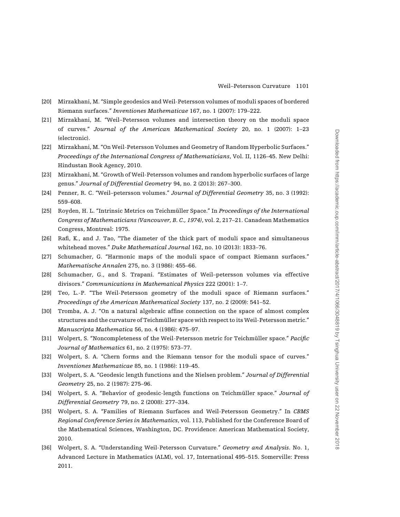- <span id="page-35-0"></span>[20] Mirzakhani, M. "Simple geodesics and Weil-Petersson volumes of moduli spaces of bordered Riemann surfaces." *Inventiones Mathematicae* 167, no. 1 (2007): 179–222.
- [21] Mirzakhani, M. "Weil–Petersson volumes and intersection theory on the moduli space of curves." *Journal of the American Mathematical Society* 20, no. 1 (2007): 1–23 (electronic).
- [22] Mirzakhani, M. "On Weil-Petersson Volumes and Geometry of Random Hyperbolic Surfaces." *Proceedings of the International Congress of Mathematicians*, Vol. II, 1126–45. New Delhi: Hindustan Book Agency, 2010.
- [23] Mirzakhani, M. "Growth of Weil-Petersson volumes and random hyperbolic surfaces of large genus." *Journal of Differential Geometry* 94, no. 2 (2013): 267–300.
- [24] Penner, R. C. "Weil–petersson volumes." *Journal of Differential Geometry* 35, no. 3 (1992): 559–608.
- [25] Royden, H. L. "Intrinsic Metrics on Teichmüller Space." In *Proceedings of the International Congress of Mathematicians (Vancouver, B. C., 1974)*, vol. 2, 217–21. Canadean Mathematics Congress, Montreal: 1975.
- [26] Rafi, K., and J. Tao, "The diameter of the thick part of moduli space and simultaneous whitehead moves." *Duke Mathematical Journal* 162, no. 10 (2013): 1833–76.
- [27] Schumacher, G. "Harmonic maps of the moduli space of compact Riemann surfaces." *Mathematische Annalen* 275, no. 3 (1986): 455–66.
- [28] Schumacher, G., and S. Trapani. "Estimates of Weil–petersson volumes via effective divisors." *Communications in Mathematical Physics* 222 (2001): 1–7.
- [29] Teo, L.-P. "The Weil-Petersson geometry of the moduli space of Riemann surfaces." *Proceedings of the American Mathematical Society* 137, no. 2 (2009): 541–52.
- [30] Tromba, A. J. "On a natural algebraic affine connection on the space of almost complex structures and the curvature of Teichmüller space with respect to its Weil-Petersson metric." *Manuscripta Mathematica* 56, no. 4 (1986): 475–97.
- [31] Wolpert, S. "Noncompleteness of the Weil-Petersson metric for Teichmüller space." *Pacific Journal of Mathematics* 61, no. 2 (1975): 573–77.
- [32] Wolpert, S. A. "Chern forms and the Riemann tensor for the moduli space of curves." *Inventiones Mathematicae* 85, no. 1 (1986): 119–45.
- [33] Wolpert, S. A. "Geodesic length functions and the Nielsen problem." *Journal of Differential Geometry* 25, no. 2 (1987): 275–96.
- [34] Wolpert, S. A. "Behavior of geodesic-length functions on Teichmüller space." *Journal of Differential Geometry* 79, no. 2 (2008): 277–334.
- [35] Wolpert, S. A. "Families of Riemann Surfaces and Weil-Petersson Geometry." In *CBMS Regional Conference Series in Mathematics*, vol. 113, Published for the Conference Board of the Mathematical Sciences, Washington, DC. Providence: American Mathematical Society, 2010.
- [36] Wolpert, S. A. "Understanding Weil-Petersson Curvature." *Geometry and Analysis*. No. 1, Advanced Lecture in Mathematics (ALM), vol. 17, International 495–515. Somerville: Press 2011.